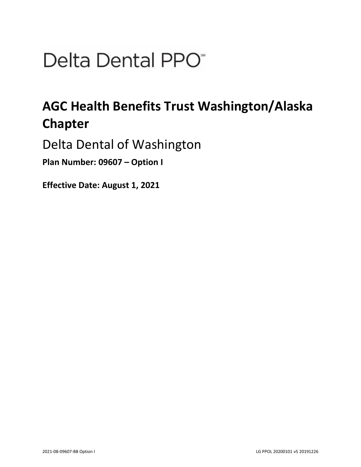# Delta Dental PPO<sup>\*</sup>

## **AGC Health Benefits Trust Washington/Alaska Chapter**

Delta Dental of Washington

**Plan Number: 09607 – Option I** 

**Effective Date: August 1, 2021**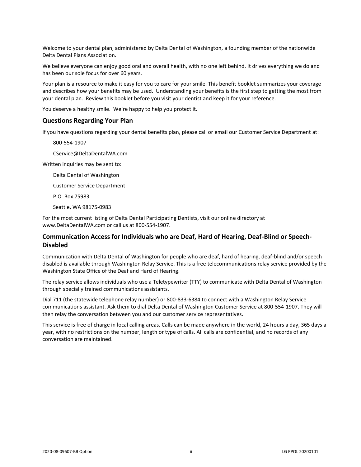Welcome to your dental plan, administered by Delta Dental of Washington, a founding member of the nationwide Delta Dental Plans Association.

We believe everyone can enjoy good oral and overall health, with no one left behind. It drives everything we do and has been our sole focus for over 60 years.

Your plan is a resource to make it easy for you to care for your smile. This benefit booklet summarizes your coverage and describes how your benefits may be used. Understanding your benefits is the first step to getting the most from your dental plan. Review this booklet before you visit your dentist and keep it for your reference.

You deserve a healthy smile. We're happy to help you protect it.

#### **Questions Regarding Your Plan**

If you have questions regarding your dental benefits plan, please call or email our Customer Service Department at:

800-554-1907

CService@DeltaDentalWA.com

Written inquiries may be sent to:

Delta Dental of Washington

Customer Service Department

P.O. Box 75983

Seattle, WA 98175-0983

For the most current listing of Delta Dental Participating Dentists, visit our online directory at www.DeltaDentalWA.com or call us at 800-554-1907.

## **Communication Access for Individuals who are Deaf, Hard of Hearing, Deaf-Blind or Speech-Disabled**

Communication with Delta Dental of Washington for people who are deaf, hard of hearing, deaf-blind and/or speech disabled is available through Washington Relay Service. This is a free telecommunications relay service provided by the Washington State Office of the Deaf and Hard of Hearing.

The relay service allows individuals who use a Teletypewriter (TTY) to communicate with Delta Dental of Washington through specially trained communications assistants.

Dial 711 (the statewide telephone relay number) or 800-833-6384 to connect with a Washington Relay Service communications assistant. Ask them to dial Delta Dental of Washington Customer Service at 800-554-1907. They will then relay the conversation between you and our customer service representatives.

This service is free of charge in local calling areas. Calls can be made anywhere in the world, 24 hours a day, 365 days a year, with no restrictions on the number, length or type of calls. All calls are confidential, and no records of any conversation are maintained.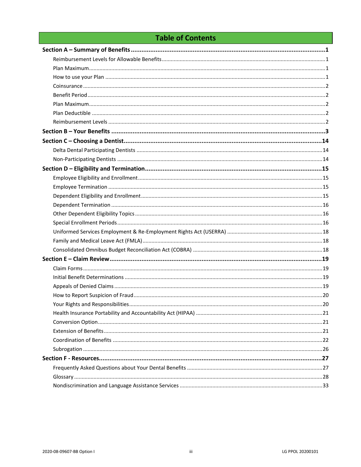## **Table of Contents**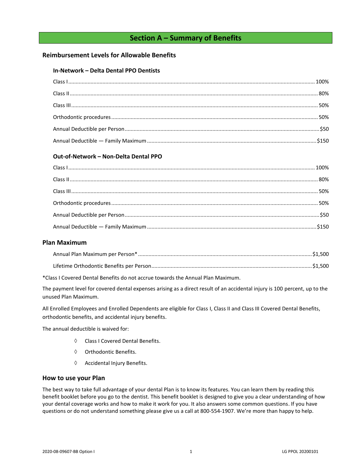## **Section A – Summary of Benefits**

## <span id="page-3-1"></span><span id="page-3-0"></span>**Reimbursement Levels for Allowable Benefits**

#### **In-Network – Delta Dental PPO Dentists**

## **Out-of-Network – Non-Delta Dental PPO**

## <span id="page-3-2"></span>**Plan Maximum**

\*Class I Covered Dental Benefits do not accrue towards the Annual Plan Maximum.

The payment level for covered dental expenses arising as a direct result of an accidental injury is 100 percent, up to the unused Plan Maximum.

All Enrolled Employees and Enrolled Dependents are eligible for Class I, Class II and Class III Covered Dental Benefits, orthodontic benefits, and accidental injury benefits.

The annual deductible is waived for:

- Class I Covered Dental Benefits.
- $\Diamond$  Orthodontic Benefits.
- $\Diamond$  Accidental Injury Benefits.

#### <span id="page-3-3"></span>**How to use your Plan**

The best way to take full advantage of your dental Plan is to know its features. You can learn them by reading this benefit booklet before you go to the dentist. This benefit booklet is designed to give you a clear understanding of how your dental coverage works and how to make it work for you. It also answers some common questions. If you have questions or do not understand something please give us a call at 800-554-1907. We're more than happy to help.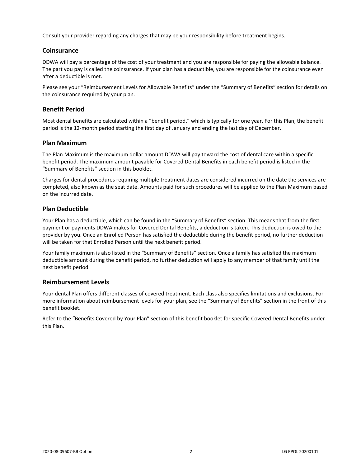Consult your provider regarding any charges that may be your responsibility before treatment begins.

## <span id="page-4-0"></span>**Coinsurance**

DDWA will pay a percentage of the cost of your treatment and you are responsible for paying the allowable balance. The part you pay is called the coinsurance. If your plan has a deductible, you are responsible for the coinsurance even after a deductible is met.

Please see your "Reimbursement Levels for Allowable Benefits" under the "Summary of Benefits" section for details on the coinsurance required by your plan.

## <span id="page-4-1"></span>**Benefit Period**

Most dental benefits are calculated within a "benefit period," which is typically for one year. For this Plan, the benefit period is the 12-month period starting the first day of January and ending the last day of December.

#### <span id="page-4-2"></span>**Plan Maximum**

The Plan Maximum is the maximum dollar amount DDWA will pay toward the cost of dental care within a specific benefit period. The maximum amount payable for Covered Dental Benefits in each benefit period is listed in the "Summary of Benefits" section in this booklet.

Charges for dental procedures requiring multiple treatment dates are considered incurred on the date the services are completed, also known as the seat date. Amounts paid for such procedures will be applied to the Plan Maximum based on the incurred date.

## <span id="page-4-3"></span>**Plan Deductible**

Your Plan has a deductible, which can be found in the "Summary of Benefits" section. This means that from the first payment or payments DDWA makes for Covered Dental Benefits, a deduction is taken. This deduction is owed to the provider by you. Once an Enrolled Person has satisfied the deductible during the benefit period, no further deduction will be taken for that Enrolled Person until the next benefit period.

Your family maximum is also listed in the "Summary of Benefits" section. Once a family has satisfied the maximum deductible amount during the benefit period, no further deduction will apply to any member of that family until the next benefit period.

#### <span id="page-4-4"></span>**Reimbursement Levels**

Your dental Plan offers different classes of covered treatment. Each class also specifies limitations and exclusions. For more information about reimbursement levels for your plan, see the "Summary of Benefits" section in the front of this benefit booklet.

Refer to the "Benefits Covered by Your Plan" section of this benefit booklet for specific Covered Dental Benefits under this Plan.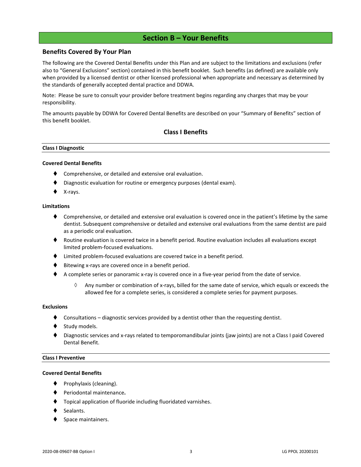## **Section B – Your Benefits**

### <span id="page-5-0"></span>**Benefits Covered By Your Plan**

The following are the Covered Dental Benefits under this Plan and are subject to the limitations and exclusions (refer also to "General Exclusions" section) contained in this benefit booklet. Such benefits (as defined) are available only when provided by a licensed dentist or other licensed professional when appropriate and necessary as determined by the standards of generally accepted dental practice and DDWA.

Note: Please be sure to consult your provider before treatment begins regarding any charges that may be your responsibility.

The amounts payable by DDWA for Covered Dental Benefits are described on your "Summary of Benefits" section of this benefit booklet.

## **Class I Benefits**

#### **Class I Diagnostic**

#### **Covered Dental Benefits**

- Comprehensive, or detailed and extensive oral evaluation.
- Diagnostic evaluation for routine or emergency purposes (dental exam).
- X-rays.

#### **Limitations**

- ♦ Comprehensive, or detailed and extensive oral evaluation is covered once in the patient's lifetime by the same dentist. Subsequent comprehensive or detailed and extensive oral evaluations from the same dentist are paid as a periodic oral evaluation.
- ♦ Routine evaluation is covered twice in a benefit period. Routine evaluation includes all evaluations except limited problem-focused evaluations.
- ⧫ Limited problem-focused evaluations are covered twice in a benefit period.
- Bitewing x-rays are covered once in a benefit period.
- ◆ A complete series or panoramic x-ray is covered once in a five-year period from the date of service.
	- $\Diamond$  Any number or combination of x-rays, billed for the same date of service, which equals or exceeds the allowed fee for a complete series, is considered a complete series for payment purposes.

#### **Exclusions**

- Consultations diagnostic services provided by a dentist other than the requesting dentist.
- Study models.
- Diagnostic services and x-rays related to temporomandibular joints (jaw joints) are not a Class I paid Covered Dental Benefit.

#### **Class I Preventive**

#### **Covered Dental Benefits**

- Prophylaxis (cleaning).
- ⧫ Periodontal maintenance**.**
- ⧫ Topical application of fluoride including fluoridated varnishes.
- Sealants.
- Space maintainers.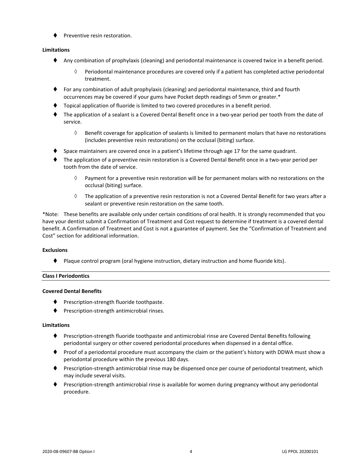⧫ Preventive resin restoration.

#### **Limitations**

- ⧫ Any combination of prophylaxis (cleaning) and periodontal maintenance is covered twice in a benefit period.
	- $\Diamond$  Periodontal maintenance procedures are covered only if a patient has completed active periodontal treatment.
- ⧫ For any combination of adult prophylaxis (cleaning) and periodontal maintenance, third and fourth occurrences may be covered if your gums have Pocket depth readings of 5mm or greater.\*
- ⧫ Topical application of fluoride is limited to two covered procedures in a benefit period.
- ⧫ The application of a sealant is a Covered Dental Benefit once in a two-year period per tooth from the date of service.
	- $\Diamond$  Benefit coverage for application of sealants is limited to permanent molars that have no restorations (includes preventive resin restorations) on the occlusal (biting) surface.
- Space maintainers are covered once in a patient's lifetime through age 17 for the same quadrant.
- ⧫ The application of a preventive resin restoration is a Covered Dental Benefit once in a two-year period per tooth from the date of service.
	- $\Diamond$  Payment for a preventive resin restoration will be for permanent molars with no restorations on the occlusal (biting) surface.
	- $\Diamond$  The application of a preventive resin restoration is not a Covered Dental Benefit for two years after a sealant or preventive resin restoration on the same tooth.

\*Note: These benefits are available only under certain conditions of oral health. It is strongly recommended that you have your dentist submit a Confirmation of Treatment and Cost request to determine if treatment is a covered dental benefit. A Confirmation of Treatment and Cost is not a guarantee of payment. See the "Confirmation of Treatment and Cost" section for additional information.

#### **Exclusions**

⧫ Plaque control program (oral hygiene instruction, dietary instruction and home fluoride kits).

#### **Class I Periodontics**

#### **Covered Dental Benefits**

- ◆ Prescription-strength fluoride toothpaste.
- ⧫ Prescription-strength antimicrobial rinses.

#### **Limitations**

- ◆ Prescription-strength fluoride toothpaste and antimicrobial rinse are Covered Dental Benefits following periodontal surgery or other covered periodontal procedures when dispensed in a dental office.
- ⧫ Proof of a periodontal procedure must accompany the claim or the patient's history with DDWA must show a periodontal procedure within the previous 180 days.
- ⧫ Prescription-strength antimicrobial rinse may be dispensed once per course of periodontal treatment, which may include several visits.
- Prescription-strength antimicrobial rinse is available for women during pregnancy without any periodontal procedure.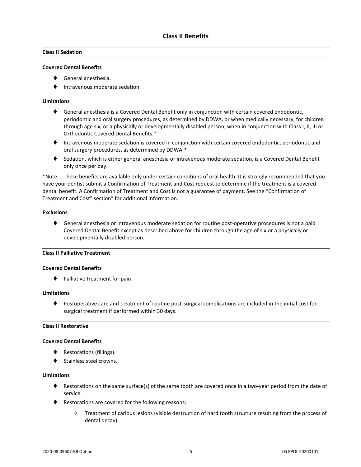### **Class II Sedation**

#### **Covered Dental Benefits**

- ⧫ General anesthesia.
- ⧫ Intravenous moderate sedation.

#### **Limitations**

- ◆ General anesthesia is a Covered Dental Benefit only in conjunction with certain covered endodontic, periodontic and oral surgery procedures, as determined by DDWA, or when medically necessary, for children through age six, or a physically or developmentally disabled person, when in conjunction with Class I, II, III or Orthodontic Covered Dental Benefits.\*
- ⧫ Intravenous moderate sedation is covered in conjunction with certain covered endodontic, periodontic and oral surgery procedures, as determined by DDWA.\*
- ◆ Sedation, which is either general anesthesia or intravenous moderate sedation, is a Covered Dental Benefit only once per day.

\*Note: These benefits are available only under certain conditions of oral health. It is strongly recommended that you have your dentist submit a Confirmation of Treatment and Cost request to determine if the treatment is a covered dental benefit. A Confirmation of Treatment and Cost is not a guarantee of payment. See the "Confirmation of Treatment and Cost" section" for additional information.

#### **Exclusions**

♦ General anesthesia or intravenous moderate sedation for routine post-operative procedures is not a paid Covered Dental Benefit except as described above for children through the age of six or a physically or developmentally disabled person.

#### **Class II Palliative Treatment**

#### **Covered Dental Benefits**

⧫ Palliative treatment for pain.

#### **Limitations**

⧫ Postoperative care and treatment of routine post-surgical complications are included in the initial cost for surgical treatment if performed within 30 days.

#### **Class II Restorative**

#### **Covered Dental Benefits**

- ◆ Restorations (fillings).
- Stainless steel crowns.

#### **Limitations**

- ♦ Restorations on the same surface(s) of the same tooth are covered once in a two-year period from the date of service.
- ♦ Restorations are covered for the following reasons:
	- $\Diamond$  Treatment of carious lesions (visible destruction of hard tooth structure resulting from the process of dental decay).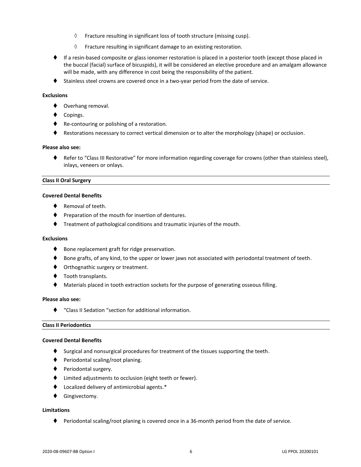- $\Diamond$  Fracture resulting in significant loss of tooth structure (missing cusp).
- $\Diamond$  Fracture resulting in significant damage to an existing restoration.
- ♦ If a resin-based composite or glass ionomer restoration is placed in a posterior tooth (except those placed in the buccal (facial) surface of bicuspids), it will be considered an elective procedure and an amalgam allowance will be made, with any difference in cost being the responsibility of the patient.
- ◆ Stainless steel crowns are covered once in a two-year period from the date of service.

#### **Exclusions**

- ◆ Overhang removal.
- Copings.
- ◆ Re-contouring or polishing of a restoration.
- ♦ Restorations necessary to correct vertical dimension or to alter the morphology (shape) or occlusion.

#### **Please also see:**

⧫ Refer to "Class III Restorative" for more information regarding coverage for crowns (other than stainless steel), inlays, veneers or onlays.

#### **Class II Oral Surgery**

#### **Covered Dental Benefits**

- Removal of teeth.
- ♦ Preparation of the mouth for insertion of dentures.
- ⧫ Treatment of pathological conditions and traumatic injuries of the mouth.

#### **Exclusions**

- ♦ Bone replacement graft for ridge preservation.
- ♦ Bone grafts, of any kind, to the upper or lower jaws not associated with periodontal treatment of teeth.
- ♦ Orthognathic surgery or treatment.
- ◆ Tooth transplants.
- Materials placed in tooth extraction sockets for the purpose of generating osseous filling.

#### **Please also see:**

⧫ "Class II Sedation "section for additional information.

#### **Class II Periodontics**

#### **Covered Dental Benefits**

- ♦ Surgical and nonsurgical procedures for treatment of the tissues supporting the teeth.
- ⧫ Periodontal scaling/root planing.
- ◆ Periodontal surgery.
- ⧫ Limited adjustments to occlusion (eight teeth or fewer).
- ⧫ Localized delivery of antimicrobial agents.\*
- ⧫ Gingivectomy.

#### **Limitations**

♦ Periodontal scaling/root planing is covered once in a 36-month period from the date of service.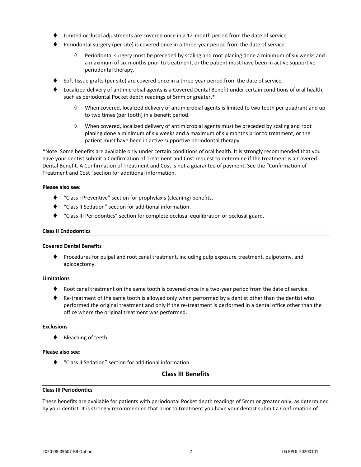- Limited occlusal adjustments are covered once in a 12-month period from the date of service.
- ⧫ Periodontal surgery (per site) is covered once in a three-year period from the date of service.
	- $\Diamond$  Periodontal surgery must be preceded by scaling and root planing done a minimum of six weeks and a maximum of six months prior to treatment, or the patient must have been in active supportive periodontal therapy.
- Soft tissue grafts (per site) are covered once in a three-year period from the date of service.
- ⧫ Localized delivery of antimicrobial agents is a Covered Dental Benefit under certain conditions of oral health, such as periodontal Pocket depth readings of 5mm or greater.\*
	- When covered, localized delivery of antimicrobial agents is limited to two teeth per quadrant and up to two times (per tooth) in a benefit period.
	- $\Diamond$  When covered, localized delivery of antimicrobial agents must be preceded by scaling and root planing done a minimum of six weeks and a maximum of six months prior to treatment, or the patient must have been in active supportive periodontal therapy.

\*Note: Some benefits are available only under certain conditions of oral health. It is strongly recommended that you have your dentist submit a Confirmation of Treatment and Cost request to determine if the treatment is a Covered Dental Benefit. A Confirmation of Treatment and Cost is not a guarantee of payment. See the "Confirmation of Treatment and Cost "section for additional information.

#### **Please also see:**

- ⧫ "Class I Preventive" section for prophylaxis (cleaning) benefits.
- ⧫ "Class II Sedation" section for additional information.
- ⧫ "Class III Periodontics" section for complete occlusal equilibration or occlusal guard.

#### **Class II Endodontics**

#### **Covered Dental Benefits**

⧫ Procedures for pulpal and root canal treatment, including pulp exposure treatment, pulpotomy, and apicoectomy.

#### **Limitations**

- Root canal treatment on the same tooth is covered once in a two-year period from the date of service.
- ♦ Re-treatment of the same tooth is allowed only when performed by a dentist other than the dentist who performed the original treatment and only if the re-treatment is performed in a dental office other than the office where the original treatment was performed.

#### **Exclusions**

⧫ Bleaching of teeth.

#### **Please also see:**

⧫ "Class II Sedation" section for additional information.

## **Class III Benefits**

#### **Class III Periodontics**

These benefits are available for patients with periodontal Pocket depth readings of 5mm or greater only, as determined by your dentist. It is strongly recommended that prior to treatment you have your dentist submit a Confirmation of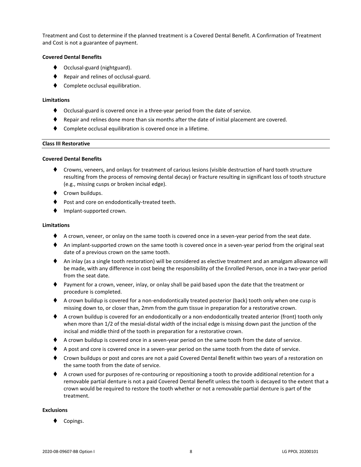Treatment and Cost to determine if the planned treatment is a Covered Dental Benefit. A Confirmation of Treatment and Cost is not a guarantee of payment.

#### **Covered Dental Benefits**

- ◆ Occlusal-guard (nightguard).
- ◆ Repair and relines of occlusal-guard.
- Complete occlusal equilibration.

#### **Limitations**

- ⧫ Occlusal-guard is covered once in a three-year period from the date of service.
- ⧫ Repair and relines done more than six months after the date of initial placement are covered.
- Complete occlusal equilibration is covered once in a lifetime.

#### **Class III Restorative**

#### **Covered Dental Benefits**

- ⧫ Crowns, veneers, and onlays for treatment of carious lesions (visible destruction of hard tooth structure resulting from the process of removing dental decay) or fracture resulting in significant loss of tooth structure (e.g., missing cusps or broken incisal edge).
- ◆ Crown buildups.
- Post and core on endodontically-treated teeth.
- ⧫ Implant-supported crown.

#### **Limitations**

- ♦ A crown, veneer, or onlay on the same tooth is covered once in a seven-year period from the seat date.
- ♦ An implant-supported crown on the same tooth is covered once in a seven-year period from the original seat date of a previous crown on the same tooth.
- ◆ An inlay (as a single tooth restoration) will be considered as elective treatment and an amalgam allowance will be made, with any difference in cost being the responsibility of the Enrolled Person, once in a two-year period from the seat date.
- ⧫ Payment for a crown, veneer, inlay, or onlay shall be paid based upon the date that the treatment or procedure is completed.
- ♦ A crown buildup is covered for a non-endodontically treated posterior (back) tooth only when one cusp is missing down to, or closer than, 2mm from the gum tissue in preparation for a restorative crown.
- ♦ A crown buildup is covered for an endodontically or a non-endodontically treated anterior (front) tooth only when more than 1/2 of the mesial-distal width of the incisal edge is missing down past the junction of the incisal and middle third of the tooth in preparation for a restorative crown.
- ◆ A crown buildup is covered once in a seven-year period on the same tooth from the date of service.
- ♦ A post and core is covered once in a seven-year period on the same tooth from the date of service.
- ◆ Crown buildups or post and cores are not a paid Covered Dental Benefit within two years of a restoration on the same tooth from the date of service.
- ◆ A crown used for purposes of re-contouring or repositioning a tooth to provide additional retention for a removable partial denture is not a paid Covered Dental Benefit unless the tooth is decayed to the extent that a crown would be required to restore the tooth whether or not a removable partial denture is part of the treatment.

#### **Exclusions**

Copings.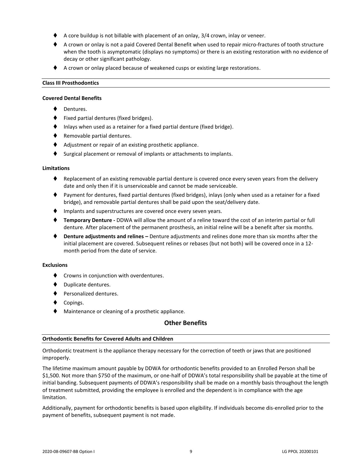- A core buildup is not billable with placement of an onlay, 3/4 crown, inlay or veneer.
- ♦ A crown or onlay is not a paid Covered Dental Benefit when used to repair micro-fractures of tooth structure when the tooth is asymptomatic (displays no symptoms) or there is an existing restoration with no evidence of decay or other significant pathology.
- ◆ A crown or onlay placed because of weakened cusps or existing large restorations.

#### **Class III Prosthodontics**

#### **Covered Dental Benefits**

- Dentures.
- ⧫ Fixed partial dentures (fixed bridges).
- Inlays when used as a retainer for a fixed partial denture (fixed bridge).
- ◆ Removable partial dentures.
- ◆ Adjustment or repair of an existing prosthetic appliance.
- Surgical placement or removal of implants or attachments to implants.

#### **Limitations**

- Replacement of an existing removable partial denture is covered once every seven years from the delivery date and only then if it is unserviceable and cannot be made serviceable.
- ⧫ Payment for dentures, fixed partial dentures (fixed bridges), inlays (only when used as a retainer for a fixed bridge), and removable partial dentures shall be paid upon the seat/delivery date.
- ♦ Implants and superstructures are covered once every seven years.
- ⧫ **Temporary Denture -** DDWA will allow the amount of a reline toward the cost of an interim partial or full denture. After placement of the permanent prosthesis, an initial reline will be a benefit after six months.
- ⧫ **Denture adjustments and relines –** Denture adjustments and relines done more than six months after the initial placement are covered. Subsequent relines or rebases (but not both) will be covered once in a 12 month period from the date of service.

#### **Exclusions**

- ◆ Crowns in conjunction with overdentures.
- ⧫ Duplicate dentures.
- ⧫ Personalized dentures.
- Copings.
- ◆ Maintenance or cleaning of a prosthetic appliance.

#### **Other Benefits**

#### **Orthodontic Benefits for Covered Adults and Children**

Orthodontic treatment is the appliance therapy necessary for the correction of teeth or jaws that are positioned improperly.

The lifetime maximum amount payable by DDWA for orthodontic benefits provided to an Enrolled Person shall be \$1,500. Not more than \$750 of the maximum, or one-half of DDWA's total responsibility shall be payable at the time of initial banding. Subsequent payments of DDWA's responsibility shall be made on a monthly basis throughout the length of treatment submitted, providing the employee is enrolled and the dependent is in compliance with the age limitation.

Additionally, payment for orthodontic benefits is based upon eligibility. If individuals become dis-enrolled prior to the payment of benefits, subsequent payment is not made.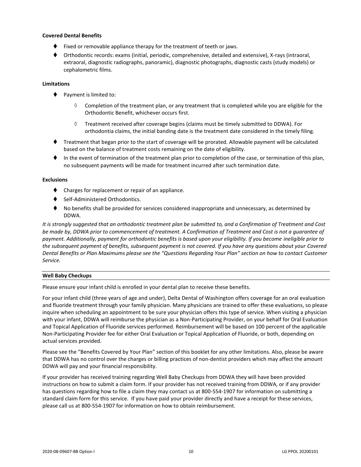#### **Covered Dental Benefits**

- Fixed or removable appliance therapy for the treatment of teeth or jaws.
- ⧫ Orthodontic records: exams (initial, periodic, comprehensive, detailed and extensive), X-rays (intraoral, extraoral, diagnostic radiographs, panoramic), diagnostic photographs, diagnostic casts (study models) or cephalometric films.

#### **Limitations**

- ♦ Payment is limited to:
	- $\Diamond$  Completion of the treatment plan, or any treatment that is completed while you are eligible for the Orthodontic Benefit, whichever occurs first.
	- $\Diamond$  Treatment received after coverage begins (claims must be timely submitted to DDWA). For orthodontia claims, the initial banding date is the treatment date considered in the timely filing.
- ⧫ Treatment that began prior to the start of coverage will be prorated. Allowable payment will be calculated based on the balance of treatment costs remaining on the date of eligibility.
- ⧫ In the event of termination of the treatment plan prior to completion of the case, or termination of this plan, no subsequent payments will be made for treatment incurred after such termination date.

#### **Exclusions**

- ⧫ Charges for replacement or repair of an appliance.
- Self-Administered Orthodontics.
- No benefits shall be provided for services considered inappropriate and unnecessary, as determined by DDWA.

*It is strongly suggested that an orthodontic treatment plan be submitted to, and a Confirmation of Treatment and Cost be made by, DDWA prior to commencement of treatment. A Confirmation of Treatment and Cost is not a guarantee of payment. Additionally, payment for orthodontic benefits is based upon your eligibility. If you become ineligible prior to the subsequent payment of benefits, subsequent payment is not covered. If you have any questions about your Covered Dental Benefits or Plan Maximums please see the "Questions Regarding Your Plan" section on how to contact Customer Service.*

#### **Well Baby Checkups**

Please ensure your infant child is enrolled in your dental plan to receive these benefits.

For your infant child (three years of age and under), Delta Dental of Washington offers coverage for an oral evaluation and fluoride treatment through your family physician. Many physicians are trained to offer these evaluations, so please inquire when scheduling an appointment to be sure your physician offers this type of service. When visiting a physician with your infant, DDWA will reimburse the physician as a Non-Participating Provider, on your behalf for Oral Evaluation and Topical Application of Fluoride services performed. Reimbursement will be based on 100 percent of the applicable Non-Participating Provider fee for either Oral Evaluation or Topical Application of Fluoride, or both, depending on actual services provided.

Please see the "Benefits Covered by Your Plan" section of this booklet for any other limitations. Also, please be aware that DDWA has no control over the charges or billing practices of non-dentist providers which may affect the amount DDWA will pay and your financial responsibility.

If your provider has received training regarding Well Baby Checkups from DDWA they will have been provided instructions on how to submit a claim form. If your provider has not received training from DDWA, or if any provider has questions regarding how to file a claim they may contact us at 800-554-1907 for information on submitting a standard claim form for this service. If you have paid your provider directly and have a receipt for these services, please call us at 800-554-1907 for information on how to obtain reimbursement.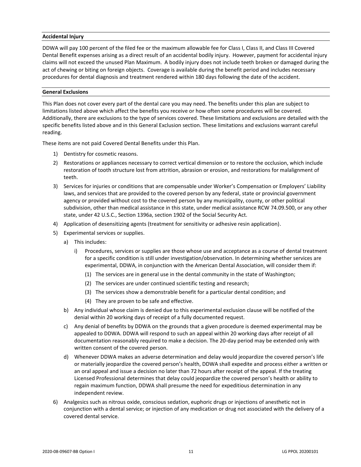#### **Accidental Injury**

DDWA will pay 100 percent of the filed fee or the maximum allowable fee for Class I, Class II, and Class III Covered Dental Benefit expenses arising as a direct result of an accidental bodily injury. However, payment for accidental injury claims will not exceed the unused Plan Maximum. A bodily injury does not include teeth broken or damaged during the act of chewing or biting on foreign objects. Coverage is available during the benefit period and includes necessary procedures for dental diagnosis and treatment rendered within 180 days following the date of the accident.

#### **General Exclusions**

This Plan does not cover every part of the dental care you may need. The benefits under this plan are subject to limitations listed above which affect the benefits you receive or how often some procedures will be covered. Additionally, there are exclusions to the type of services covered. These limitations and exclusions are detailed with the specific benefits listed above and in this General Exclusion section. These limitations and exclusions warrant careful reading.

These items are not paid Covered Dental Benefits under this Plan.

- 1) Dentistry for cosmetic reasons.
- 2) Restorations or appliances necessary to correct vertical dimension or to restore the occlusion, which include restoration of tooth structure lost from attrition, abrasion or erosion, and restorations for malalignment of teeth.
- 3) Services for injuries or conditions that are compensable under Worker's Compensation or Employers' Liability laws, and services that are provided to the covered person by any federal, state or provincial government agency or provided without cost to the covered person by any municipality, county, or other political subdivision, other than medical assistance in this state, under medical assistance RCW 74.09.500, or any other state, under 42 U.S.C., Section 1396a, section 1902 of the Social Security Act.
- 4) Application of desensitizing agents (treatment for sensitivity or adhesive resin application).
- 5) Experimental services or supplies.
	- a) This includes:
		- i) Procedures, services or supplies are those whose use and acceptance as a course of dental treatment for a specific condition is still under investigation/observation. In determining whether services are experimental, DDWA, in conjunction with the American Dental Association, will consider them if:
			- (1) The services are in general use in the dental community in the state of Washington;
			- (2) The services are under continued scientific testing and research;
			- (3) The services show a demonstrable benefit for a particular dental condition; and
			- (4) They are proven to be safe and effective.
	- b) Any individual whose claim is denied due to this experimental exclusion clause will be notified of the denial within 20 working days of receipt of a fully documented request.
	- c) Any denial of benefits by DDWA on the grounds that a given procedure is deemed experimental may be appealed to DDWA. DDWA will respond to such an appeal within 20 working days after receipt of all documentation reasonably required to make a decision. The 20-day period may be extended only with written consent of the covered person.
	- d) Whenever DDWA makes an adverse determination and delay would jeopardize the covered person's life or materially jeopardize the covered person's health, DDWA shall expedite and process either a written or an oral appeal and issue a decision no later than 72 hours after receipt of the appeal. If the treating Licensed Professional determines that delay could jeopardize the covered person's health or ability to regain maximum function, DDWA shall presume the need for expeditious determination in any independent review.
- 6) Analgesics such as nitrous oxide, conscious sedation, euphoric drugs or injections of anesthetic not in conjunction with a dental service; or injection of any medication or drug not associated with the delivery of a covered dental service.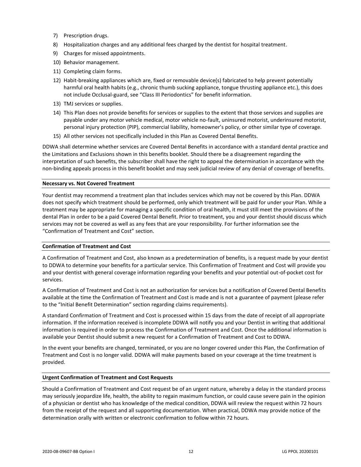- 7) Prescription drugs.
- 8) Hospitalization charges and any additional fees charged by the dentist for hospital treatment.
- 9) Charges for missed appointments.
- 10) Behavior management.
- 11) Completing claim forms.
- 12) Habit-breaking appliances which are, fixed or removable device(s) fabricated to help prevent potentially harmful oral health habits (e.g., chronic thumb sucking appliance, tongue thrusting appliance etc.), this does not include Occlusal-guard, see "Class III Periodontics" for benefit information.
- 13) TMJ services or supplies.
- 14) This Plan does not provide benefits for services or supplies to the extent that those services and supplies are payable under any motor vehicle medical, motor vehicle no-fault, uninsured motorist, underinsured motorist, personal injury protection (PIP), commercial liability, homeowner's policy, or other similar type of coverage.
- 15) All other services not specifically included in this Plan as Covered Dental Benefits.

DDWA shall determine whether services are Covered Dental Benefits in accordance with a standard dental practice and the Limitations and Exclusions shown in this benefits booklet. Should there be a disagreement regarding the interpretation of such benefits, the subscriber shall have the right to appeal the determination in accordance with the non-binding appeals process in this benefit booklet and may seek judicial review of any denial of coverage of benefits.

#### **Necessary vs. Not Covered Treatment**

Your dentist may recommend a treatment plan that includes services which may not be covered by this Plan. DDWA does not specify which treatment should be performed, only which treatment will be paid for under your Plan. While a treatment may be appropriate for managing a specific condition of oral health, it must still meet the provisions of the dental Plan in order to be a paid Covered Dental Benefit. Prior to treatment, you and your dentist should discuss which services may not be covered as well as any fees that are your responsibility. For further information see the "Confirmation of Treatment and Cost" section.

#### **Confirmation of Treatment and Cost**

A Confirmation of Treatment and Cost, also known as a predetermination of benefits, is a request made by your dentist to DDWA to determine your benefits for a particular service. This Confirmation of Treatment and Cost will provide you and your dentist with general coverage information regarding your benefits and your potential out-of-pocket cost for services.

A Confirmation of Treatment and Cost is not an authorization for services but a notification of Covered Dental Benefits available at the time the Confirmation of Treatment and Cost is made and is not a guarantee of payment (please refer to the "Initial Benefit Determination" section regarding claims requirements).

A standard Confirmation of Treatment and Cost is processed within 15 days from the date of receipt of all appropriate information. If the information received is incomplete DDWA will notify you and your Dentist in writing that additional information is required in order to process the Confirmation of Treatment and Cost. Once the additional information is available your Dentist should submit a new request for a Confirmation of Treatment and Cost to DDWA.

In the event your benefits are changed, terminated, or you are no longer covered under this Plan, the Confirmation of Treatment and Cost is no longer valid. DDWA will make payments based on your coverage at the time treatment is provided.

#### **Urgent Confirmation of Treatment and Cost Requests**

Should a Confirmation of Treatment and Cost request be of an urgent nature, whereby a delay in the standard process may seriously jeopardize life, health, the ability to regain maximum function, or could cause severe pain in the opinion of a physician or dentist who has knowledge of the medical condition, DDWA will review the request within 72 hours from the receipt of the request and all supporting documentation. When practical, DDWA may provide notice of the determination orally with written or electronic confirmation to follow within 72 hours.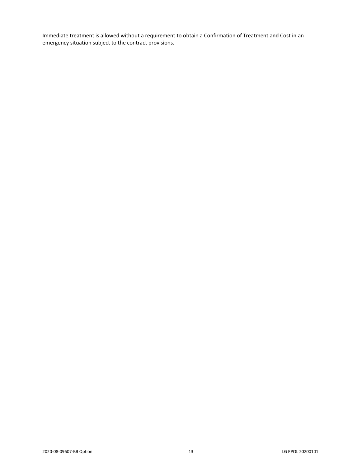Immediate treatment is allowed without a requirement to obtain a Confirmation of Treatment and Cost in an emergency situation subject to the contract provisions.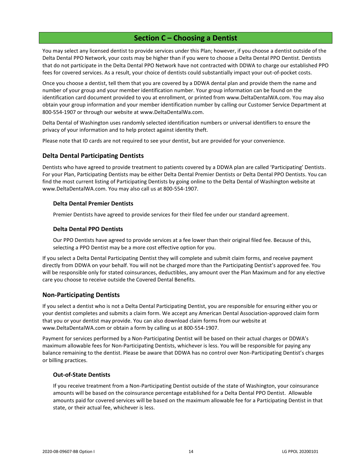## **Section C – Choosing a Dentist**

<span id="page-16-0"></span>You may select any licensed dentist to provide services under this Plan; however, if you choose a dentist outside of the Delta Dental PPO Network, your costs may be higher than if you were to choose a Delta Dental PPO Dentist. Dentists that do not participate in the Delta Dental PPO Network have not contracted with DDWA to charge our established PPO fees for covered services. As a result, your choice of dentists could substantially impact your out-of-pocket costs.

Once you choose a dentist, tell them that you are covered by a DDWA dental plan and provide them the name and number of your group and your member identification number. Your group information can be found on the identification card document provided to you at enrollment, or printed from www.DeltaDentalWA.com. You may also obtain your group information and your member identification number by calling our Customer Service Department at 800-554-1907 or through our website at www.DeltaDentalWa.com.

Delta Dental of Washington uses randomly selected identification numbers or universal identifiers to ensure the privacy of your information and to help protect against identity theft.

Please note that ID cards are not required to see your dentist, but are provided for your convenience.

## <span id="page-16-1"></span>**Delta Dental Participating Dentists**

Dentists who have agreed to provide treatment to patients covered by a DDWA plan are called 'Participating' Dentists. For your Plan, Participating Dentists may be either Delta Dental Premier Dentists or Delta Dental PPO Dentists. You can find the most current listing of Participating Dentists by going online to the Delta Dental of Washington website at www.DeltaDentalWA.com. You may also call us at 800-554-1907.

#### **Delta Dental Premier Dentists**

Premier Dentists have agreed to provide services for their filed fee under our standard agreement.

#### **Delta Dental PPO Dentists**

Our PPO Dentists have agreed to provide services at a fee lower than their original filed fee. Because of this, selecting a PPO Dentist may be a more cost effective option for you.

If you select a Delta Dental Participating Dentist they will complete and submit claim forms, and receive payment directly from DDWA on your behalf. You will not be charged more than the Participating Dentist's approved fee. You will be responsible only for stated coinsurances, deductibles, any amount over the Plan Maximum and for any elective care you choose to receive outside the Covered Dental Benefits.

## <span id="page-16-2"></span>**Non-Participating Dentists**

If you select a dentist who is not a Delta Dental Participating Dentist, you are responsible for ensuring either you or your dentist completes and submits a claim form. We accept any American Dental Association-approved claim form that you or your dentist may provide. You can also download claim forms from our website at www.DeltaDentalWA.com or obtain a form by calling us at 800-554-1907.

Payment for services performed by a Non-Participating Dentist will be based on their actual charges or DDWA's maximum allowable fees for Non-Participating Dentists, whichever is less. You will be responsible for paying any balance remaining to the dentist. Please be aware that DDWA has no control over Non-Participating Dentist's charges or billing practices.

#### **Out-of-State Dentists**

If you receive treatment from a Non-Participating Dentist outside of the state of Washington, your coinsurance amounts will be based on the coinsurance percentage established for a Delta Dental PPO Dentist. Allowable amounts paid for covered services will be based on the maximum allowable fee for a Participating Dentist in that state, or their actual fee, whichever is less.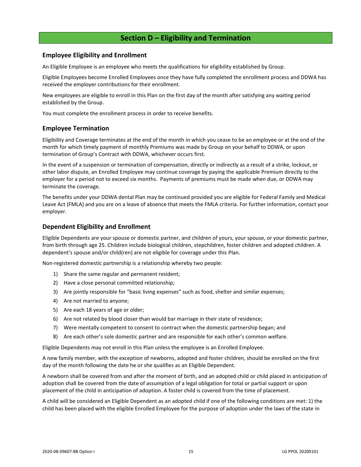## **Section D – Eligibility and Termination**

## <span id="page-17-1"></span><span id="page-17-0"></span>**Employee Eligibility and Enrollment**

An Eligible Employee is an employee who meets the qualifications for eligibility established by Group.

Eligible Employees become Enrolled Employees once they have fully completed the enrollment process and DDWA has received the employer contributions for their enrollment.

New employees are eligible to enroll in this Plan on the first day of the month after satisfying any waiting period established by the Group.

You must complete the enrollment process in order to receive benefits.

## <span id="page-17-2"></span>**Employee Termination**

Eligibility and Coverage terminates at the end of the month in which you cease to be an employee or at the end of the month for which timely payment of monthly Premiums was made by Group on your behalf to DDWA, or upon termination of Group's Contract with DDWA, whichever occurs first.

In the event of a suspension or termination of compensation, directly or indirectly as a result of a strike, lockout, or other labor dispute, an Enrolled Employee may continue coverage by paying the applicable Premium directly to the employer for a period not to exceed six months. Payments of premiums must be made when due, or DDWA may terminate the coverage.

The benefits under your DDWA dental Plan may be continued provided you are eligible for Federal Family and Medical Leave Act (FMLA) and you are on a leave of absence that meets the FMLA criteria. For further information, contact your employer.

## <span id="page-17-3"></span>**Dependent Eligibility and Enrollment**

Eligible Dependents are your spouse or domestic partner, and children of yours, your spouse, or your domestic partner, from birth through age 25. Children include biological children, stepchildren, foster children and adopted children. A dependent's spouse and/or child(ren) are not eligible for coverage under this Plan.

Non-registered domestic partnership is a relationship whereby two people:

- 1) Share the same regular and permanent resident;
- 2) Have a close personal committed relationship;
- 3) Are jointly responsible for "basic living expenses" such as food, shelter and similar expenses;
- 4) Are not married to anyone;
- 5) Are each 18 years of age or older;
- 6) Are not related by blood closer than would bar marriage in their state of residence;
- 7) Were mentally competent to consent to contract when the domestic partnership began; and
- 8) Are each other's sole domestic partner and are responsible for each other's common welfare.

Eligible Dependents may not enroll in this Plan unless the employee is an Enrolled Employee.

A new family member, with the exception of newborns, adopted and foster children, should be enrolled on the first day of the month following the date he or she qualifies as an Eligible Dependent.

A newborn shall be covered from and after the moment of birth, and an adopted child or child placed in anticipation of adoption shall be covered from the date of assumption of a legal obligation for total or partial support or upon placement of the child in anticipation of adoption. A foster child is covered from the time of placement.

A child will be considered an Eligible Dependent as an adopted child if one of the following conditions are met: 1) the child has been placed with the eligible Enrolled Employee for the purpose of adoption under the laws of the state in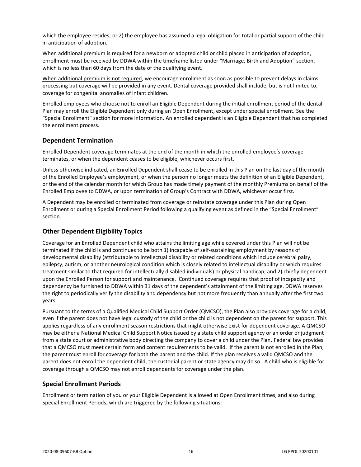which the employee resides; or 2) the employee has assumed a legal obligation for total or partial support of the child in anticipation of adoption.

When additional premium is required for a newborn or adopted child or child placed in anticipation of adoption, enrollment must be received by DDWA within the timeframe listed under "Marriage, Birth and Adoption" section, which is no less than 60 days from the date of the qualifying event.

When additional premium is not required, we encourage enrollment as soon as possible to prevent delays in claims processing but coverage will be provided in any event. Dental coverage provided shall include, but is not limited to, coverage for congenital anomalies of infant children.

Enrolled employees who choose not to enroll an Eligible Dependent during the initial enrollment period of the dental Plan may enroll the Eligible Dependent only during an Open Enrollment, except under special enrollment. See the "Special Enrollment" section for more information. An enrolled dependent is an Eligible Dependent that has completed the enrollment process.

## <span id="page-18-0"></span>**Dependent Termination**

Enrolled Dependent coverage terminates at the end of the month in which the enrolled employee's coverage terminates, or when the dependent ceases to be eligible, whichever occurs first.

Unless otherwise indicated, an Enrolled Dependent shall cease to be enrolled in this Plan on the last day of the month of the Enrolled Employee's employment, or when the person no longer meets the definition of an Eligible Dependent, or the end of the calendar month for which Group has made timely payment of the monthly Premiums on behalf of the Enrolled Employee to DDWA, or upon termination of Group's Contract with DDWA, whichever occur first.

A Dependent may be enrolled or terminated from coverage or reinstate coverage under this Plan during Open Enrollment or during a Special Enrollment Period following a qualifying event as defined in the "Special Enrollment" section.

## <span id="page-18-1"></span>**Other Dependent Eligibility Topics**

Coverage for an Enrolled Dependent child who attains the limiting age while covered under this Plan will not be terminated if the child is and continues to be both 1) incapable of self-sustaining employment by reasons of developmental disability (attributable to intellectual disability or related conditions which include cerebral palsy, epilepsy, autism, or another neurological condition which is closely related to intellectual disability or which requires treatment similar to that required for intellectually disabled individuals) or physical handicap; and 2) chiefly dependent upon the Enrolled Person for support and maintenance. Continued coverage requires that proof of incapacity and dependency be furnished to DDWA within 31 days of the dependent's attainment of the limiting age. DDWA reserves the right to periodically verify the disability and dependency but not more frequently than annually after the first two years.

Pursuant to the terms of a Qualified Medical Child Support Order (QMCSO), the Plan also provides coverage for a child, even if the parent does not have legal custody of the child or the child is not dependent on the parent for support. This applies regardless of any enrollment season restrictions that might otherwise exist for dependent coverage. A QMCSO may be either a National Medical Child Support Notice issued by a state child support agency or an order or judgment from a state court or administrative body directing the company to cover a child under the Plan. Federal law provides that a QMCSO must meet certain form and content requirements to be valid. If the parent is not enrolled in the Plan, the parent must enroll for coverage for both the parent and the child. If the plan receives a valid QMCSO and the parent does not enroll the dependent child, the custodial parent or state agency may do so. A child who is eligible for coverage through a QMCSO may not enroll dependents for coverage under the plan.

## <span id="page-18-2"></span>**Special Enrollment Periods**

Enrollment or termination of you or your Eligible Dependent is allowed at Open Enrollment times, and also during Special Enrollment Periods, which are triggered by the following situations: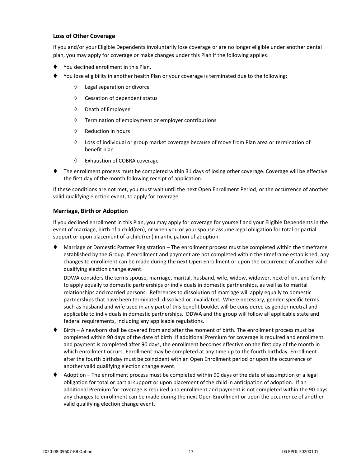## **Loss of Other Coverage**

If you and/or your Eligible Dependents involuntarily lose coverage or are no longer eligible under another dental plan, you may apply for coverage or make changes under this Plan if the following applies:

- You declined enrollment in this Plan.
- You lose eligibility in another health Plan or your coverage is terminated due to the following:
	- Legal separation or divorce
	- $\Diamond$  Cessation of dependent status
	- $\Diamond$  Death of Employee
	- $\Diamond$  Termination of employment or employer contributions
	- $\Diamond$  Reduction in hours
	- $\Diamond$  Loss of individual or group market coverage because of move from Plan area or termination of benefit plan
	- Exhaustion of COBRA coverage
- ⧫ The enrollment process must be completed within 31 days of losing other coverage. Coverage will be effective the first day of the month following receipt of application.

If these conditions are not met, you must wait until the next Open Enrollment Period, or the occurrence of another valid qualifying election event, to apply for coverage.

#### **Marriage, Birth or Adoption**

If you declined enrollment in this Plan, you may apply for coverage for yourself and your Eligible Dependents in the event of marriage, birth of a child(ren), or when you or your spouse assume legal obligation for total or partial support or upon placement of a child(ren) in anticipation of adoption.

Marriage or Domestic Partner Registration – The enrollment process must be completed within the timeframe established by the Group. If enrollment and payment are not completed within the timeframe established, any changes to enrollment can be made during the next Open Enrollment or upon the occurrence of another valid qualifying election change event.

DDWA considers the terms spouse, marriage, marital, husband, wife, widow, widower, next of kin, and family to apply equally to domestic partnerships or individuals in domestic partnerships, as well as to marital relationships and married persons. References to dissolution of marriage will apply equally to domestic partnerships that have been terminated, dissolved or invalidated. Where necessary, gender-specific terms such as husband and wife used in any part of this benefit booklet will be considered as gender neutral and applicable to individuals in domestic partnerships. DDWA and the group will follow all applicable state and federal requirements, including any applicable regulations.

- ♦ Birth A newborn shall be covered from and after the moment of birth. The enrollment process must be completed within 90 days of the date of birth. If additional Premium for coverage is required and enrollment and payment is completed after 90 days, the enrollment becomes effective on the first day of the month in which enrollment occurs. Enrollment may be completed at any time up to the fourth birthday. Enrollment after the fourth birthday must be coincident with an Open Enrollment period or upon the occurrence of another valid qualifying election change event.
- Adoption The enrollment process must be completed within 90 days of the date of assumption of a legal obligation for total or partial support or upon placement of the child in anticipation of adoption. If an additional Premium for coverage is required and enrollment and payment is not completed within the 90 days, any changes to enrollment can be made during the next Open Enrollment or upon the occurrence of another valid qualifying election change event.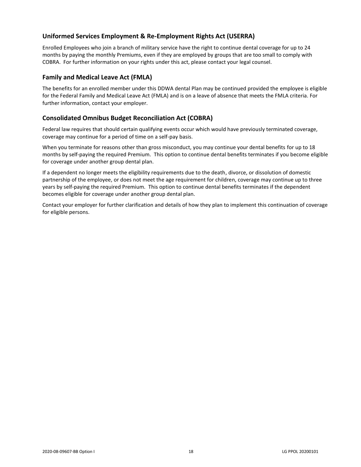## <span id="page-20-0"></span>**Uniformed Services Employment & Re-Employment Rights Act (USERRA)**

Enrolled Employees who join a branch of military service have the right to continue dental coverage for up to 24 months by paying the monthly Premiums, even if they are employed by groups that are too small to comply with COBRA. For further information on your rights under this act, please contact your legal counsel.

## <span id="page-20-1"></span>**Family and Medical Leave Act (FMLA)**

The benefits for an enrolled member under this DDWA dental Plan may be continued provided the employee is eligible for the Federal Family and Medical Leave Act (FMLA) and is on a leave of absence that meets the FMLA criteria. For further information, contact your employer.

## <span id="page-20-2"></span>**Consolidated Omnibus Budget Reconciliation Act (COBRA)**

Federal law requires that should certain qualifying events occur which would have previously terminated coverage, coverage may continue for a period of time on a self-pay basis.

When you terminate for reasons other than gross misconduct, you may continue your dental benefits for up to 18 months by self-paying the required Premium. This option to continue dental benefits terminates if you become eligible for coverage under another group dental plan.

If a dependent no longer meets the eligibility requirements due to the death, divorce, or dissolution of domestic partnership of the employee, or does not meet the age requirement for children, coverage may continue up to three years by self-paying the required Premium. This option to continue dental benefits terminates if the dependent becomes eligible for coverage under another group dental plan.

Contact your employer for further clarification and details of how they plan to implement this continuation of coverage for eligible persons.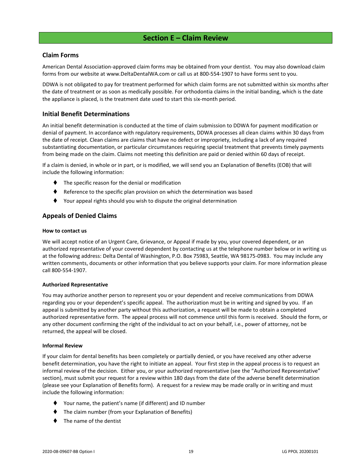## **Section E – Claim Review**

## <span id="page-21-1"></span><span id="page-21-0"></span>**Claim Forms**

American Dental Association-approved claim forms may be obtained from your dentist. You may also download claim forms from our website at www.DeltaDentalWA.com or call us at 800-554-1907 to have forms sent to you.

DDWA is not obligated to pay for treatment performed for which claim forms are not submitted within six months after the date of treatment or as soon as medically possible. For orthodontia claims in the initial banding, which is the date the appliance is placed, is the treatment date used to start this six-month period.

## <span id="page-21-2"></span>**Initial Benefit Determinations**

An initial benefit determination is conducted at the time of claim submission to DDWA for payment modification or denial of payment. In accordance with regulatory requirements, DDWA processes all clean claims within 30 days from the date of receipt. Clean claims are claims that have no defect or impropriety, including a lack of any required substantiating documentation, or particular circumstances requiring special treatment that prevents timely payments from being made on the claim. Claims not meeting this definition are paid or denied within 60 days of receipt.

If a claim is denied, in whole or in part, or is modified, we will send you an Explanation of Benefits (EOB) that will include the following information:

- The specific reason for the denial or modification
- Reference to the specific plan provision on which the determination was based
- Your appeal rights should you wish to dispute the original determination

## <span id="page-21-3"></span>**Appeals of Denied Claims**

#### **How to contact us**

We will accept notice of an Urgent Care, Grievance, or Appeal if made by you, your covered dependent, or an authorized representative of your covered dependent by contacting us at the telephone number below or in writing us at the following address: Delta Dental of Washington, P.O. Box 75983, Seattle, WA 98175-0983. You may include any written comments, documents or other information that you believe supports your claim. For more information please call 800-554-1907.

#### **Authorized Representative**

You may authorize another person to represent you or your dependent and receive communications from DDWA regarding you or your dependent's specific appeal. The authorization must be in writing and signed by you. If an appeal is submitted by another party without this authorization, a request will be made to obtain a completed authorized representative form. The appeal process will not commence until this form is received. Should the form, or any other document confirming the right of the individual to act on your behalf, i.e., power of attorney, not be returned, the appeal will be closed.

#### **Informal Review**

If your claim for dental benefits has been completely or partially denied, or you have received any other adverse benefit determination, you have the right to initiate an appeal. Your first step in the appeal process is to request an informal review of the decision. Either you, or your authorized representative (see the "Authorized Representative" section), must submit your request for a review within 180 days from the date of the adverse benefit determination (please see your Explanation of Benefits form). A request for a review may be made orally or in writing and must include the following information:

- ⧫ Your name, the patient's name (if different) and ID number
- The claim number (from your Explanation of Benefits)
- The name of the dentist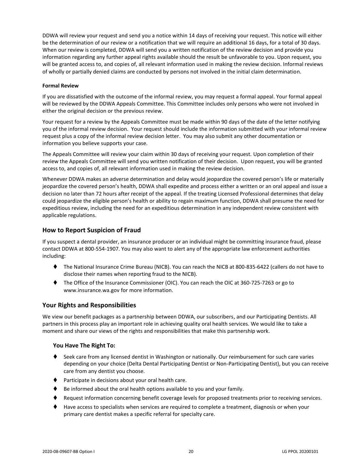DDWA will review your request and send you a notice within 14 days of receiving your request. This notice will either be the determination of our review or a notification that we will require an additional 16 days, for a total of 30 days. When our review is completed, DDWA will send you a written notification of the review decision and provide you information regarding any further appeal rights available should the result be unfavorable to you. Upon request, you will be granted access to, and copies of, all relevant information used in making the review decision. Informal reviews of wholly or partially denied claims are conducted by persons not involved in the initial claim determination.

#### **Formal Review**

If you are dissatisfied with the outcome of the informal review, you may request a formal appeal. Your formal appeal will be reviewed by the DDWA Appeals Committee. This Committee includes only persons who were not involved in either the original decision or the previous review.

Your request for a review by the Appeals Committee must be made within 90 days of the date of the letter notifying you of the informal review decision. Your request should include the information submitted with your informal review request plus a copy of the informal review decision letter. You may also submit any other documentation or information you believe supports your case.

The Appeals Committee will review your claim within 30 days of receiving your request. Upon completion of their review the Appeals Committee will send you written notification of their decision. Upon request, you will be granted access to, and copies of, all relevant information used in making the review decision.

Whenever DDWA makes an adverse determination and delay would jeopardize the covered person's life or materially jeopardize the covered person's health, DDWA shall expedite and process either a written or an oral appeal and issue a decision no later than 72 hours after receipt of the appeal. If the treating Licensed Professional determines that delay could jeopardize the eligible person's health or ability to regain maximum function, DDWA shall presume the need for expeditious review, including the need for an expeditious determination in any independent review consistent with applicable regulations.

## <span id="page-22-0"></span>**How to Report Suspicion of Fraud**

If you suspect a dental provider, an insurance producer or an individual might be committing insurance fraud, please contact DDWA at 800-554-1907. You may also want to alert any of the appropriate law enforcement authorities including:

- ⧫ The National Insurance Crime Bureau (NICB). You can reach the NICB at 800-835-6422 (callers do not have to disclose their names when reporting fraud to the NICB).
- ⧫ The Office of the Insurance Commissioner (OIC). You can reach the OIC at 360-725-7263 or go to www.insurance.wa.gov for more information.

## <span id="page-22-1"></span>**Your Rights and Responsibilities**

We view our benefit packages as a partnership between DDWA, our subscribers, and our Participating Dentists. All partners in this process play an important role in achieving quality oral health services. We would like to take a moment and share our views of the rights and responsibilities that make this partnership work.

#### **You Have The Right To:**

- ♦ Seek care from any licensed dentist in Washington or nationally. Our reimbursement for such care varies depending on your choice (Delta Dental Participating Dentist or Non-Participating Dentist), but you can receive care from any dentist you choose.
- ♦ Participate in decisions about your oral health care.
- Be informed about the oral health options available to you and your family.
- ♦ Request information concerning benefit coverage levels for proposed treatments prior to receiving services.
- ⧫ Have access to specialists when services are required to complete a treatment, diagnosis or when your primary care dentist makes a specific referral for specialty care.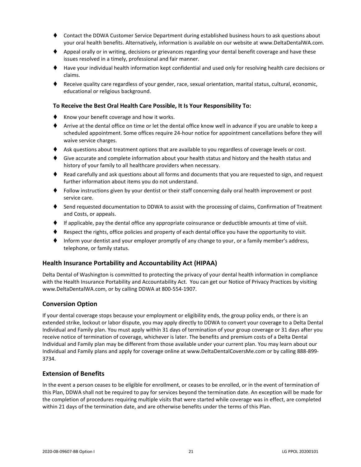- ⧫ Contact the DDWA Customer Service Department during established business hours to ask questions about your oral health benefits. Alternatively, information is available on our website at www.DeltaDentalWA.com.
- ♦ Appeal orally or in writing, decisions or grievances regarding your dental benefit coverage and have these issues resolved in a timely, professional and fair manner.
- ⧫ Have your individual health information kept confidential and used only for resolving health care decisions or claims.
- ⧫ Receive quality care regardless of your gender, race, sexual orientation, marital status, cultural, economic, educational or religious background.

#### **To Receive the Best Oral Health Care Possible, It Is Your Responsibility To:**

- ♦ Know your benefit coverage and how it works.
- ⧫ Arrive at the dental office on time or let the dental office know well in advance if you are unable to keep a scheduled appointment. Some offices require 24-hour notice for appointment cancellations before they will waive service charges.
- ♦ Ask questions about treatment options that are available to you regardless of coverage levels or cost.
- ♦ Give accurate and complete information about your health status and history and the health status and history of your family to all healthcare providers when necessary.
- ♦ Read carefully and ask questions about all forms and documents that you are requested to sign, and request further information about items you do not understand.
- ⧫ Follow instructions given by your dentist or their staff concerning daily oral health improvement or post service care.
- ♦ Send requested documentation to DDWA to assist with the processing of claims, Confirmation of Treatment and Costs, or appeals.
- ⧫ If applicable, pay the dental office any appropriate coinsurance or deductible amounts at time of visit.
- Respect the rights, office policies and property of each dental office you have the opportunity to visit.
- Inform your dentist and your employer promptly of any change to your, or a family member's address, telephone, or family status.

#### <span id="page-23-0"></span>**Health Insurance Portability and Accountability Act (HIPAA)**

Delta Dental of Washington is committed to protecting the privacy of your dental health information in compliance with the Health Insurance Portability and Accountability Act. You can get our Notice of Privacy Practices by visiting www.DeltaDentalWA.com, or by calling DDWA at 800-554-1907.

#### <span id="page-23-1"></span>**Conversion Option**

If your dental coverage stops because your employment or eligibility ends, the group policy ends, or there is an extended strike, lockout or labor dispute, you may apply directly to DDWA to convert your coverage to a Delta Dental Individual and Family plan. You must apply within 31 days of termination of your group coverage or 31 days after you receive notice of termination of coverage, whichever is later. The benefits and premium costs of a Delta Dental Individual and Family plan may be different from those available under your current plan. You may learn about our Individual and Family plans and apply for coverage online at www.DeltaDentalCoversMe.com or by calling 888-899- 3734.

## <span id="page-23-2"></span>**Extension of Benefits**

In the event a person ceases to be eligible for enrollment, or ceases to be enrolled, or in the event of termination of this Plan, DDWA shall not be required to pay for services beyond the termination date. An exception will be made for the completion of procedures requiring multiple visits that were started while coverage was in effect, are completed within 21 days of the termination date, and are otherwise benefits under the terms of this Plan.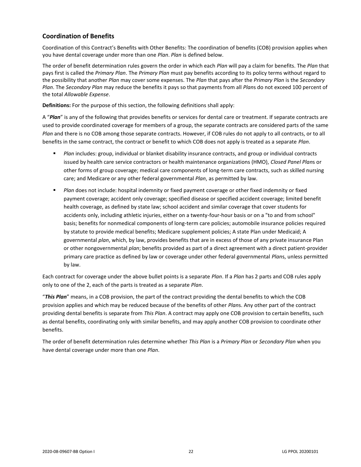## <span id="page-24-0"></span>**Coordination of Benefits**

Coordination of this Contract's Benefits with Other Benefits: The coordination of benefits (COB) provision applies when you have dental coverage under more than one *Plan*. *Plan* is defined below.

The order of benefit determination rules govern the order in which each *Plan* will pay a claim for benefits. The *Plan* that pays first is called the *Primary Plan*. The *Primary Plan* must pay benefits according to its policy terms without regard to the possibility that another *Plan* may cover some expenses. The *Plan* that pays after the *Primary Plan* is the *Secondary Plan*. The *Secondary Plan* may reduce the benefits it pays so that payments from all *Plan*s do not exceed 100 percent of the total *Allowable Expense*.

**Definitions:** For the purpose of this section, the following definitions shall apply:

A "*Plan*" is any of the following that provides benefits or services for dental care or treatment. If separate contracts are used to provide coordinated coverage for members of a group, the separate contracts are considered parts of the same *Plan* and there is no COB among those separate contracts. However, if COB rules do not apply to all contracts, or to all benefits in the same contract, the contract or benefit to which COB does not apply is treated as a separate *Plan*.

- *Plan* includes: group, individual or blanket disability insurance contracts, and group or individual contracts issued by health care service contractors or health maintenance organizations (HMO), *Closed Panel Plan*s or other forms of group coverage; medical care components of long-term care contracts, such as skilled nursing care; and Medicare or any other federal governmental *Plan*, as permitted by law.
- **■** *Plan* does not include: hospital indemnity or fixed payment coverage or other fixed indemnity or fixed payment coverage; accident only coverage; specified disease or specified accident coverage; limited benefit health coverage, as defined by state law; school accident and similar coverage that cover students for accidents only, including athletic injuries, either on a twenty-four-hour basis or on a "to and from school" basis; benefits for nonmedical components of long-term care policies; automobile insurance policies required by statute to provide medical benefits; Medicare supplement policies; A state Plan under Medicaid; A governmental *plan*, which, by law, provides benefits that are in excess of those of any private insurance Plan or other nongovernmental *plan*; benefits provided as part of a direct agreement with a direct patient-provider primary care practice as defined by law or coverage under other federal governmental *Plan*s, unless permitted by law.

Each contract for coverage under the above bullet points is a separate *Plan*. If a *Plan* has 2 parts and COB rules apply only to one of the 2, each of the parts is treated as a separate *Plan*.

"*This Plan*" means, in a COB provision, the part of the contract providing the dental benefits to which the COB provision applies and which may be reduced because of the benefits of other *Plan*s. Any other part of the contract providing dental benefits is separate from *This Plan*. A contract may apply one COB provision to certain benefits, such as dental benefits, coordinating only with similar benefits, and may apply another COB provision to coordinate other benefits.

The order of benefit determination rules determine whether *This Plan* is a *Primary Plan* or *Secondary Plan* when you have dental coverage under more than one *Plan*.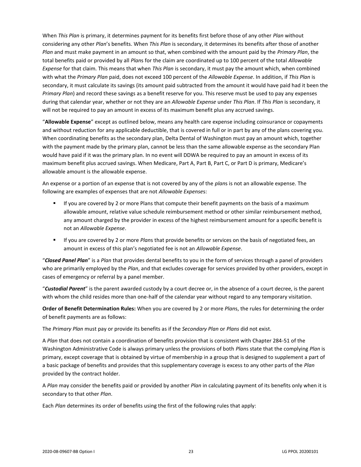When *This Plan* is primary, it determines payment for its benefits first before those of any other *Plan* without considering any other *Plan*'s benefits. When *This Plan* is secondary, it determines its benefits after those of another *Plan* and must make payment in an amount so that, when combined with the amount paid by the *Primary Plan*, the total benefits paid or provided by all *Plan*s for the claim are coordinated up to 100 percent of the total *Allowable Expense* for that claim. This means that when *This Plan* is secondary, it must pay the amount which, when combined with what the *Primary Plan* paid, does not exceed 100 percent of the *Allowable Expense*. In addition, if *This Plan* is secondary, it must calculate its savings (its amount paid subtracted from the amount it would have paid had it been the *Primary Plan*) and record these savings as a benefit reserve for you. This reserve must be used to pay any expenses during that calendar year, whether or not they are an *Allowable Expense* under *This Plan*. If *This Plan* is secondary, it will not be required to pay an amount in excess of its maximum benefit plus any accrued savings.

"**Allowable Expense**" except as outlined below, means any health care expense including coinsurance or copayments and without reduction for any applicable deductible, that is covered in full or in part by any of the plans covering you. When coordinating benefits as the secondary plan, Delta Dental of Washington must pay an amount which, together with the payment made by the primary plan, cannot be less than the same allowable expense as the secondary Plan would have paid if it was the primary plan. In no event will DDWA be required to pay an amount in excess of its maximum benefit plus accrued savings. When Medicare, Part A, Part B, Part C, or Part D is primary, Medicare's allowable amount is the allowable expense.

An expense or a portion of an expense that is not covered by any of the *plan*s is not an allowable expense. The following are examples of expenses that are not *Allowable Expense*s:

- **■** If you are covered by 2 or more Plans that compute their benefit payments on the basis of a maximum allowable amount, relative value schedule reimbursement method or other similar reimbursement method, any amount charged by the provider in excess of the highest reimbursement amount for a specific benefit is not an *Allowable Expense*.
- If you are covered by 2 or more *Plan*s that provide benefits or services on the basis of negotiated fees, an amount in excess of this plan's negotiated fee is not an *Allowable Expense*.

"*Closed Panel Plan*" is a *Plan* that provides dental benefits to you in the form of services through a panel of providers who are primarily employed by the *Plan*, and that excludes coverage for services provided by other providers, except in cases of emergency or referral by a panel member.

"*Custodial Parent*" is the parent awarded custody by a court decree or, in the absence of a court decree, is the parent with whom the child resides more than one-half of the calendar year without regard to any temporary visitation.

**Order of Benefit Determination Rules:** When you are covered by 2 or more *Plan*s, the rules for determining the order of benefit payments are as follows:

The *Primary Plan* must pay or provide its benefits as if the *Secondary Plan* or *Plans* did not exist.

A *Plan* that does not contain a coordination of benefits provision that is consistent with Chapter 284-51 of the Washington Administrative Code is always primary unless the provisions of both *Plan*s state that the complying *Plan* is primary, except coverage that is obtained by virtue of membership in a group that is designed to supplement a part of a basic package of benefits and provides that this supplementary coverage is excess to any other parts of the *Plan* provided by the contract holder.

A *Plan* may consider the benefits paid or provided by another *Plan* in calculating payment of its benefits only when it is secondary to that other *Plan*.

Each *Plan* determines its order of benefits using the first of the following rules that apply: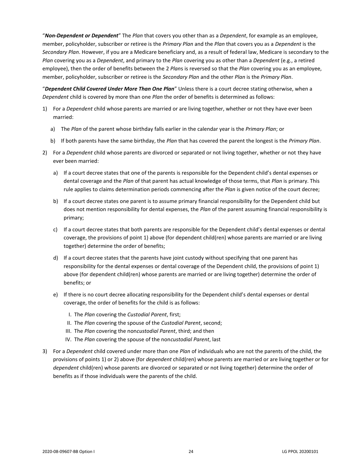"*Non-Dependent or Dependent*" The *Plan* that covers you other than as a *Dependent*, for example as an employee, member, policyholder, subscriber or retiree is the *Primary Plan* and the *Plan* that covers you as a *Dependent* is the *Secondary Plan*. However, if you are a Medicare beneficiary and, as a result of federal law, Medicare is secondary to the *Plan* covering you as a *Dependent*, and primary to the *Plan* covering you as other than a *Dependent* (e.g., a retired employee), then the order of benefits between the 2 *Plan*s is reversed so that the *Plan* covering you as an employee, member, policyholder, subscriber or retiree is the *Secondary Plan* and the other *Plan* is the *Primary Plan*.

"*Dependent Child Covered Under More Than One Plan*" Unless there is a court decree stating otherwise, when a *Dependent* child is covered by more than one *Plan* the order of benefits is determined as follows:

- 1) For a *Dependent* child whose parents are married or are living together, whether or not they have ever been married:
	- a) The *Plan* of the parent whose birthday falls earlier in the calendar year is the *Primary Plan*; or
	- b) If both parents have the same birthday, the *Plan* that has covered the parent the longest is the *Primary Plan*.
- 2) For a *Dependent* child whose parents are divorced or separated or not living together, whether or not they have ever been married:
	- a) If a court decree states that one of the parents is responsible for the Dependent child's dental expenses or dental coverage and the *Plan* of that parent has actual knowledge of those terms, that *Plan* is primary. This rule applies to claims determination periods commencing after the *Plan* is given notice of the court decree;
	- b) If a court decree states one parent is to assume primary financial responsibility for the Dependent child but does not mention responsibility for dental expenses, the *Plan* of the parent assuming financial responsibility is primary;
	- c) If a court decree states that both parents are responsible for the Dependent child's dental expenses or dental coverage, the provisions of point 1) above (for dependent child(ren) whose parents are married or are living together) determine the order of benefits;
	- d) If a court decree states that the parents have joint custody without specifying that one parent has responsibility for the dental expenses or dental coverage of the Dependent child, the provisions of point 1) above (for dependent child(ren) whose parents are married or are living together) determine the order of benefits; or
	- e) If there is no court decree allocating responsibility for the Dependent child's dental expenses or dental coverage, the order of benefits for the child is as follows:
		- I. The *Plan* covering the *Custodial Parent*, first;
		- II. The *Plan* covering the spouse of the *Custodial Parent*, second;
		- III. The *Plan* covering the non*custodial Parent*, third; and then
		- IV. The *Plan* covering the spouse of the non*custodial Parent*, last
- 3) For a *Dependent* child covered under more than one *Plan* of individuals who are not the parents of the child, the provisions of points 1) or 2) above (for *dependent* child(ren) whose parents are married or are living together or for *dependent* child(ren) whose parents are divorced or separated or not living together) determine the order of benefits as if those individuals were the parents of the child.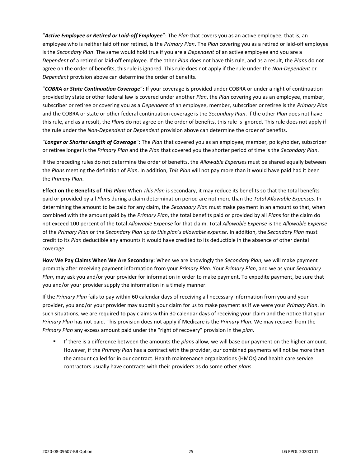"*Active Employee or Retired or Laid-off Employee*": The *Plan* that covers you as an active employee, that is, an employee who is neither laid off nor retired, is the *Primary Plan*. The *Plan* covering you as a retired or laid-off employee is the *Secondary Plan*. The same would hold true if you are a *Dependent* of an active employee and you are a *Dependent* of a retired or laid-off employee. If the other *Plan* does not have this rule, and as a result, the *Plan*s do not agree on the order of benefits, this rule is ignored. This rule does not apply if the rule under the *Non-Dependent* or *Dependent* provision above can determine the order of benefits.

"*COBRA or State Continuation Coverage*"**:** If your coverage is provided under COBRA or under a right of continuation provided by state or other federal law is covered under another *Plan*, the *Plan* covering you as an employee, member, subscriber or retiree or covering you as a *Dependent* of an employee, member, subscriber or retiree is the *Primary Plan* and the COBRA or state or other federal continuation coverage is the *Secondary Plan*. If the other *Plan* does not have this rule, and as a result, the *Plan*s do not agree on the order of benefits, this rule is ignored. This rule does not apply if the rule under the *Non-Dependent* or *Dependent* provision above can determine the order of benefits.

"*Longer or Shorter Length of Coverage*"**:** The *Plan* that covered you as an employee, member, policyholder, subscriber or retiree longer is the *Primary Plan* and the *Plan* that covered you the shorter period of time is the *Secondary Plan*.

If the preceding rules do not determine the order of benefits, the *Allowable Expense*s must be shared equally between the *Plan*s meeting the definition of *Plan*. In addition, *This Plan* will not pay more than it would have paid had it been the *Primary Plan*.

**Effect on the Benefits of** *This Plan***:** When *This Plan* is secondary, it may reduce its benefits so that the total benefits paid or provided by all *Plan*s during a claim determination period are not more than the *Total Allowable Expenses*. In determining the amount to be paid for any claim, the *Secondary Plan* must make payment in an amount so that, when combined with the amount paid by the *Primary Plan*, the total benefits paid or provided by all *Plan*s for the claim do not exceed 100 percent of the total *Allowable Expense* for that claim. Total *Allowable Expense* is the *Allowable Expense* of the *Primary Plan* or the *Secondary Plan up to this plan's allowable expense*. In addition, the *Secondary Plan* must credit to its *Plan* deductible any amounts it would have credited to its deductible in the absence of other dental coverage.

**How We Pay Claims When We Are Secondary:** When we are knowingly the *Secondary Plan*, we will make payment promptly after receiving payment information from your *Primary Plan*. Your *Primary Plan*, and we as your *Secondary Plan*, may ask you and/or your provider for information in order to make payment. To expedite payment, be sure that you and/or your provider supply the information in a timely manner.

If the *Primary Plan* fails to pay within 60 calendar days of receiving all necessary information from you and your provider, you and/or your provider may submit your claim for us to make payment as if we were your *Primary Plan*. In such situations, we are required to pay claims within 30 calendar days of receiving your claim and the notice that your *Primary Plan* has not paid. This provision does not apply if Medicare is the *Primary Plan*. We may recover from the *Primary Plan* any excess amount paid under the "right of recovery" provision in the *plan*.

If there is a difference between the amounts the *plans* allow, we will base our payment on the higher amount. However, if the *Primary Plan* has a contract with the provider, our combined payments will not be more than the amount called for in our contract. Health maintenance organizations (HMOs) and health care service contractors usually have contracts with their providers as do some other *plan*s.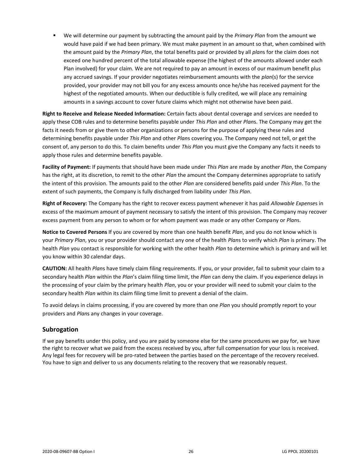▪ We will determine our payment by subtracting the amount paid by the *Primary Plan* from the amount we would have paid if we had been primary. We must make payment in an amount so that, when combined with the amount paid by the *Primary Plan*, the total benefits paid or provided by all *plan*s for the claim does not exceed one hundred percent of the total allowable expense (the highest of the amounts allowed under each Plan involved) for your claim. We are not required to pay an amount in excess of our maximum benefit plus any accrued savings. If your provider negotiates reimbursement amounts with the *plan*(s) for the service provided, your provider may not bill you for any excess amounts once he/she has received payment for the highest of the negotiated amounts. When our deductible is fully credited, we will place any remaining amounts in a savings account to cover future claims which might not otherwise have been paid.

**Right to Receive and Release Needed Information:** Certain facts about dental coverage and services are needed to apply these COB rules and to determine benefits payable under *This Plan* and other *Plan*s. The Company may get the facts it needs from or give them to other organizations or persons for the purpose of applying these rules and determining benefits payable under *This Plan* and other *Plan*s covering you. The Company need not tell, or get the consent of, any person to do this. To claim benefits under *This Plan* you must give the Company any facts it needs to apply those rules and determine benefits payable.

**Facility of Payment:** If payments that should have been made under *This Plan* are made by another *Plan*, the Company has the right, at its discretion, to remit to the other *Plan* the amount the Company determines appropriate to satisfy the intent of this provision. The amounts paid to the other *Plan* are considered benefits paid under *This Plan*. To the extent of such payments, the Company is fully discharged from liability under *This Plan*.

**Right of Recovery:** The Company has the right to recover excess payment whenever it has paid *Allowable Expense*s in excess of the maximum amount of payment necessary to satisfy the intent of this provision. The Company may recover excess payment from any person to whom or for whom payment was made or any other Company or *Plan*s.

**Notice to Covered Persons** If you are covered by more than one health benefit *Plan*, and you do not know which is your *Primary Plan*, you or your provider should contact any one of the health *Plan*s to verify which *Plan* is primary. The health *Plan* you contact is responsible for working with the other health *Plan* to determine which is primary and will let you know within 30 calendar days.

**CAUTION:** All health *Plan*s have timely claim filing requirements. If you, or your provider, fail to submit your claim to a secondary health *Plan* within the *Plan*'s claim filing time limit, the *Plan* can deny the claim. If you experience delays in the processing of your claim by the primary health *Plan*, you or your provider will need to submit your claim to the secondary health *Plan* within its claim filing time limit to prevent a denial of the claim.

To avoid delays in claims processing, if you are covered by more than one *Plan* you should promptly report to your providers and *Plan*s any changes in your coverage.

## <span id="page-28-0"></span>**Subrogation**

If we pay benefits under this policy, and you are paid by someone else for the same procedures we pay for, we have the right to recover what we paid from the excess received by you, after full compensation for your loss is received. Any legal fees for recovery will be pro-rated between the parties based on the percentage of the recovery received. You have to sign and deliver to us any documents relating to the recovery that we reasonably request.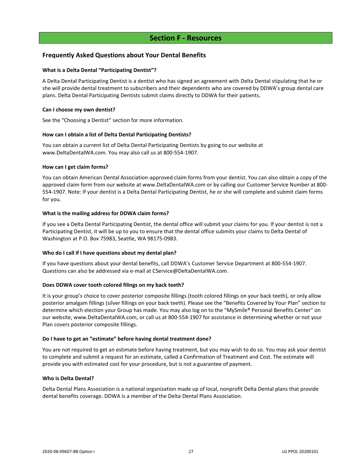## **Section F - Resources**

## <span id="page-29-1"></span><span id="page-29-0"></span>**Frequently Asked Questions about Your Dental Benefits**

#### **What is a Delta Dental "Participating Dentist"?**

A Delta Dental Participating Dentist is a dentist who has signed an agreement with Delta Dental stipulating that he or she will provide dental treatment to subscribers and their dependents who are covered by DDWA's group dental care plans. Delta Dental Participating Dentists submit claims directly to DDWA for their patients.

#### **Can I choose my own dentist?**

See the "Choosing a Dentist" section for more information.

#### **How can I obtain a list of Delta Dental Participating Dentists?**

You can obtain a current list of Delta Dental Participating Dentists by going to our website at www.DeltaDentalWA.com. You may also call us at 800-554-1907.

#### **How can I get claim forms?**

You can obtain American Dental Association-approved claim forms from your dentist. You can also obtain a copy of the approved claim form from our website at www.DeltaDentalWA.com or by calling our Customer Service Number at 800- 554-1907. Note: If your dentist is a Delta Dental Participating Dentist, he or she will complete and submit claim forms for you.

#### **What is the mailing address for DDWA claim forms?**

If you see a Delta Dental Participating Dentist, the dental office will submit your claims for you. If your dentist is not a Participating Dentist, it will be up to you to ensure that the dental office submits your claims to Delta Dental of Washington at P.O. Box 75983, Seattle, WA 98175-0983.

#### **Who do I call if I have questions about my dental plan?**

If you have questions about your dental benefits, call DDWA's Customer Service Department at 800-554-1907. Questions can also be addressed via e-mail at CService@DeltaDentalWA.com.

#### **Does DDWA cover tooth colored filings on my back teeth?**

It is your group's choice to cover posterior composite fillings (tooth colored fillings on your back teeth), or only allow posterior amalgam fillings (silver fillings on your back teeth). Please see the "Benefits Covered by Your Plan" section to determine which election your Group has made. You may also log on to the "MySmile® Personal Benefits Center" on our website, www.DeltaDentalWA.com, or call us at 800-554-1907 for assistance in determining whether or not your Plan covers posterior composite fillings.

#### **Do I have to get an "estimate" before having dental treatment done?**

You are not required to get an estimate before having treatment, but you may wish to do so. You may ask your dentist to complete and submit a request for an estimate, called a Confirmation of Treatment and Cost. The estimate will provide you with estimated cost for your procedure, but is not a guarantee of payment.

#### **Who is Delta Dental?**

Delta Dental Plans Association is a national organization made up of local, nonprofit Delta Dental plans that provide dental benefits coverage. DDWA is a member of the Delta Dental Plans Association.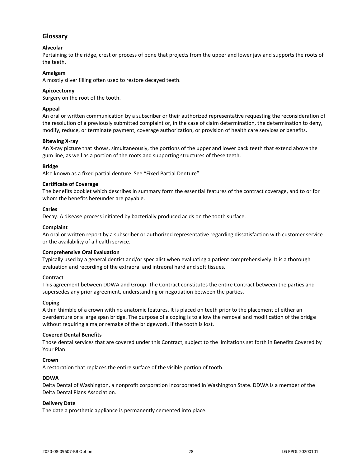## <span id="page-30-0"></span>**Glossary**

## **Alveolar**

Pertaining to the ridge, crest or process of bone that projects from the upper and lower jaw and supports the roots of the teeth.

#### **Amalgam**

A mostly silver filling often used to restore decayed teeth.

#### **Apicoectomy**

Surgery on the root of the tooth.

#### **Appeal**

An oral or written communication by a subscriber or their authorized representative requesting the reconsideration of the resolution of a previously submitted complaint or, in the case of claim determination, the determination to deny, modify, reduce, or terminate payment, coverage authorization, or provision of health care services or benefits.

#### **Bitewing X-ray**

An X-ray picture that shows, simultaneously, the portions of the upper and lower back teeth that extend above the gum line, as well as a portion of the roots and supporting structures of these teeth.

#### **Bridge**

Also known as a fixed partial denture. See "Fixed Partial Denture".

#### **Certificate of Coverage**

The benefits booklet which describes in summary form the essential features of the contract coverage, and to or for whom the benefits hereunder are payable.

#### **Caries**

Decay. A disease process initiated by bacterially produced acids on the tooth surface.

#### **Complaint**

An oral or written report by a subscriber or authorized representative regarding dissatisfaction with customer service or the availability of a health service.

#### **Comprehensive Oral Evaluation**

Typically used by a general dentist and/or specialist when evaluating a patient comprehensively. It is a thorough evaluation and recording of the extraoral and intraoral hard and soft tissues.

#### **Contract**

This agreement between DDWA and Group. The Contract constitutes the entire Contract between the parties and supersedes any prior agreement, understanding or negotiation between the parties.

#### **Coping**

A thin thimble of a crown with no anatomic features. It is placed on teeth prior to the placement of either an overdenture or a large span bridge. The purpose of a coping is to allow the removal and modification of the bridge without requiring a major remake of the bridgework, if the tooth is lost.

#### **Covered Dental Benefits**

Those dental services that are covered under this Contract, subject to the limitations set forth in Benefits Covered by Your Plan.

#### **Crown**

A restoration that replaces the entire surface of the visible portion of tooth.

#### **DDWA**

Delta Dental of Washington, a nonprofit corporation incorporated in Washington State. DDWA is a member of the Delta Dental Plans Association.

#### **Delivery Date**

The date a prosthetic appliance is permanently cemented into place.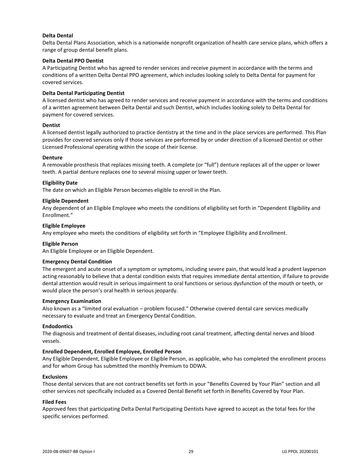#### **Delta Dental**

Delta Dental Plans Association, which is a nationwide nonprofit organization of health care service plans, which offers a range of group dental benefit plans.

#### **Delta Dental PPO Dentist**

A Participating Dentist who has agreed to render services and receive payment in accordance with the terms and conditions of a written Delta Dental PPO agreement, which includes looking solely to Delta Dental for payment for covered services.

#### **Delta Dental Participating Dentist**

A licensed dentist who has agreed to render services and receive payment in accordance with the terms and conditions of a written agreement between Delta Dental and such Dentist, which includes looking solely to Delta Dental for payment for covered services.

#### **Dentist**

A licensed dentist legally authorized to practice dentistry at the time and in the place services are performed. This Plan provides for covered services only if those services are performed by or under direction of a licensed Dentist or other Licensed Professional operating within the scope of their license.

#### **Denture**

A removable prosthesis that replaces missing teeth. A complete (or "full") denture replaces all of the upper or lower teeth. A partial denture replaces one to several missing upper or lower teeth.

#### **Eligibility Date**

The date on which an Eligible Person becomes eligible to enroll in the Plan.

#### **Eligible Dependent**

Any dependent of an Eligible Employee who meets the conditions of eligibility set forth in "Dependent Eligibility and Enrollment."

#### **Eligible Employee**

Any employee who meets the conditions of eligibility set forth in "Employee Eligibility and Enrollment.

#### **Eligible Person**

An Eligible Employee or an Eligible Dependent.

#### **Emergency Dental Condition**

The emergent and acute onset of a symptom or symptoms, including severe pain, that would lead a prudent layperson acting reasonably to believe that a dental condition exists that requires immediate dental attention, if failure to provide dental attention would result in serious impairment to oral functions or serious dysfunction of the mouth or teeth, or would place the person's oral health in serious jeopardy.

#### **Emergency Examination**

Also known as a "limited oral evaluation – problem focused." Otherwise covered dental care services medically necessary to evaluate and treat an Emergency Dental Condition.

#### **Endodontics**

The diagnosis and treatment of dental diseases, including root canal treatment, affecting dental nerves and blood vessels.

#### **Enrolled Dependent, Enrolled Employee, Enrolled Person**

Any Eligible Dependent, Eligible Employee or Eligible Person, as applicable, who has completed the enrollment process and for whom Group has submitted the monthly Premium to DDWA.

#### **Exclusions**

Those dental services that are not contract benefits set forth in your "Benefits Covered by Your Plan" section and all other services not specifically included as a Covered Dental Benefit set forth in Benefits Covered by Your Plan.

#### **Filed Fees**

Approved fees that participating Delta Dental Participating Dentists have agreed to accept as the total fees for the specific services performed.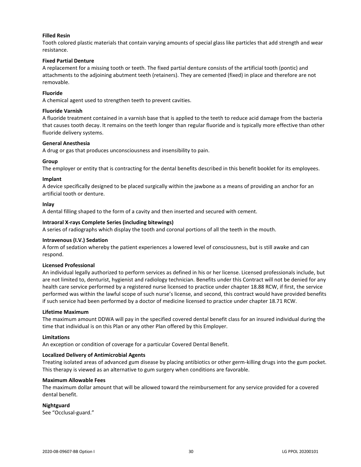#### **Filled Resin**

Tooth colored plastic materials that contain varying amounts of special glass like particles that add strength and wear resistance.

#### **Fixed Partial Denture**

A replacement for a missing tooth or teeth. The fixed partial denture consists of the artificial tooth (pontic) and attachments to the adjoining abutment teeth (retainers). They are cemented (fixed) in place and therefore are not removable.

#### **Fluoride**

A chemical agent used to strengthen teeth to prevent cavities.

#### **Fluoride Varnish**

A fluoride treatment contained in a varnish base that is applied to the teeth to reduce acid damage from the bacteria that causes tooth decay. It remains on the teeth longer than regular fluoride and is typically more effective than other fluoride delivery systems.

#### **General Anesthesia**

A drug or gas that produces unconsciousness and insensibility to pain.

#### **Group**

The employer or entity that is contracting for the dental benefits described in this benefit booklet for its employees.

#### **Implant**

A device specifically designed to be placed surgically within the jawbone as a means of providing an anchor for an artificial tooth or denture.

#### **Inlay**

A dental filling shaped to the form of a cavity and then inserted and secured with cement.

#### **Intraoral X-rays Complete Series (including bitewings)**

A series of radiographs which display the tooth and coronal portions of all the teeth in the mouth.

#### **Intravenous (I.V.) Sedation**

A form of sedation whereby the patient experiences a lowered level of consciousness, but is still awake and can respond.

#### **Licensed Professional**

An individual legally authorized to perform services as defined in his or her license. Licensed professionals include, but are not limited to, denturist, hygienist and radiology technician. Benefits under this Contract will not be denied for any health care service performed by a registered nurse licensed to practice under chapter 18.88 RCW, if first, the service performed was within the lawful scope of such nurse's license, and second, this contract would have provided benefits if such service had been performed by a doctor of medicine licensed to practice under chapter 18.71 RCW.

#### **Lifetime Maximum**

The maximum amount DDWA will pay in the specified covered dental benefit class for an insured individual during the time that individual is on this Plan or any other Plan offered by this Employer.

#### **Limitations**

An exception or condition of coverage for a particular Covered Dental Benefit.

#### **Localized Delivery of Antimicrobial Agents**

Treating isolated areas of advanced gum disease by placing antibiotics or other germ-killing drugs into the gum pocket. This therapy is viewed as an alternative to gum surgery when conditions are favorable.

#### **Maximum Allowable Fees**

The maximum dollar amount that will be allowed toward the reimbursement for any service provided for a covered dental benefit.

#### **Nightguard**

See "Occlusal-guard."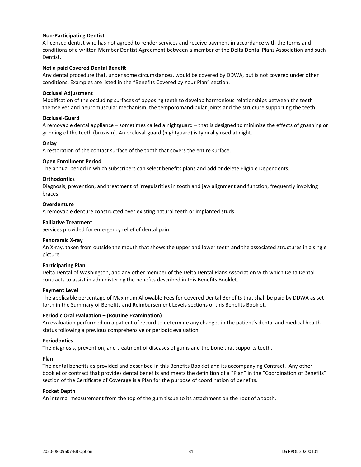#### **Non-Participating Dentist**

A licensed dentist who has not agreed to render services and receive payment in accordance with the terms and conditions of a written Member Dentist Agreement between a member of the Delta Dental Plans Association and such Dentist.

#### **Not a paid Covered Dental Benefit**

Any dental procedure that, under some circumstances, would be covered by DDWA, but is not covered under other conditions. Examples are listed in the "Benefits Covered by Your Plan" section.

#### **Occlusal Adjustment**

Modification of the occluding surfaces of opposing teeth to develop harmonious relationships between the teeth themselves and neuromuscular mechanism, the temporomandibular joints and the structure supporting the teeth.

#### **Occlusal-Guard**

A removable dental appliance – sometimes called a nightguard – that is designed to minimize the effects of gnashing or grinding of the teeth (bruxism). An occlusal-guard (nightguard) is typically used at night.

#### **Onlay**

A restoration of the contact surface of the tooth that covers the entire surface.

#### **Open Enrollment Period**

The annual period in which subscribers can select benefits plans and add or delete Eligible Dependents.

#### **Orthodontics**

Diagnosis, prevention, and treatment of irregularities in tooth and jaw alignment and function, frequently involving braces.

#### **Overdenture**

A removable denture constructed over existing natural teeth or implanted studs.

#### **Palliative Treatment**

Services provided for emergency relief of dental pain.

#### **Panoramic X-ray**

An X-ray, taken from outside the mouth that shows the upper and lower teeth and the associated structures in a single picture.

#### **Participating Plan**

Delta Dental of Washington, and any other member of the Delta Dental Plans Association with which Delta Dental contracts to assist in administering the benefits described in this Benefits Booklet.

#### **Payment Level**

The applicable percentage of Maximum Allowable Fees for Covered Dental Benefits that shall be paid by DDWA as set forth in the Summary of Benefits and Reimbursement Levels sections of this Benefits Booklet.

#### **Periodic Oral Evaluation – (Routine Examination)**

An evaluation performed on a patient of record to determine any changes in the patient's dental and medical health status following a previous comprehensive or periodic evaluation.

#### **Periodontics**

The diagnosis, prevention, and treatment of diseases of gums and the bone that supports teeth.

#### **Plan**

The dental benefits as provided and described in this Benefits Booklet and its accompanying Contract. Any other booklet or contract that provides dental benefits and meets the definition of a "Plan" in the "Coordination of Benefits" section of the Certificate of Coverage is a Plan for the purpose of coordination of benefits.

#### **Pocket Depth**

An internal measurement from the top of the gum tissue to its attachment on the root of a tooth.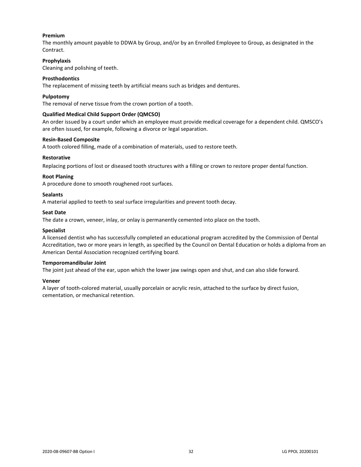#### **Premium**

The monthly amount payable to DDWA by Group, and/or by an Enrolled Employee to Group, as designated in the Contract.

#### **Prophylaxis**

Cleaning and polishing of teeth.

#### **Prosthodontics**

The replacement of missing teeth by artificial means such as bridges and dentures.

#### **Pulpotomy**

The removal of nerve tissue from the crown portion of a tooth.

#### **Qualified Medical Child Support Order (QMCSO)**

An order issued by a court under which an employee must provide medical coverage for a dependent child. QMSCO's are often issued, for example, following a divorce or legal separation.

#### **Resin-Based Composite**

A tooth colored filling, made of a combination of materials, used to restore teeth.

#### **Restorative**

Replacing portions of lost or diseased tooth structures with a filling or crown to restore proper dental function.

#### **Root Planing**

A procedure done to smooth roughened root surfaces.

#### **Sealants**

A material applied to teeth to seal surface irregularities and prevent tooth decay.

#### **Seat Date**

The date a crown, veneer, inlay, or onlay is permanently cemented into place on the tooth.

#### **Specialist**

A licensed dentist who has successfully completed an educational program accredited by the Commission of Dental Accreditation, two or more years in length, as specified by the Council on Dental Education or holds a diploma from an American Dental Association recognized certifying board.

#### **Temporomandibular Joint**

The joint just ahead of the ear, upon which the lower jaw swings open and shut, and can also slide forward.

#### **Veneer**

A layer of tooth-colored material, usually porcelain or acrylic resin, attached to the surface by direct fusion, cementation, or mechanical retention.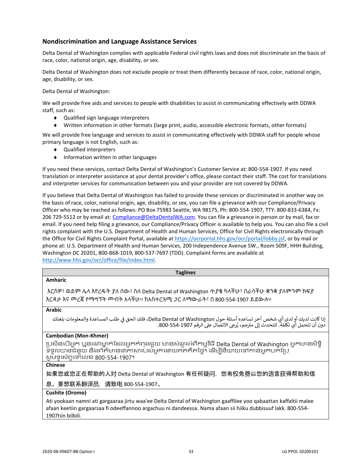## <span id="page-35-0"></span>**Nondiscrimination and Language Assistance Services**

Delta Dental of Washington complies with applicable Federal civil rights laws and does not discriminate on the basis of race, color, national origin, age, disability, or sex.

Delta Dental of Washington does not exclude people or treat them differently because of race, color, national origin, age, disability, or sex.

Delta Dental of Washington:

We will provide free aids and services to people with disabilities to assist in communicating effectively with DDWA staff, such as:

- ◆ Qualified sign language interpreters
- Written information in other formats (large print, audio, accessible electronic formats, other formats)

We will provide free language and services to assist in communicating effectively with DDWA staff for people whose primary language is not English, such as:

- Qualified interpreters
- $\bullet$  Information written in other languages

If you need these services, contact Delta Dental of Washington's Customer Service at: 800-554-1907. If you need translation or interpreter assistance at your dental provider's office, please contact their staff. The cost for translations and interpreter services for communication between you and your provider are not covered by DDWA.

If you believe that Delta Dental of Washington has failed to provide these services or discriminated in another way on the basis of race, color, national origin, age, disability, or sex, you can file a grievance with our Compliance/Privacy Officer who may be reached as follows: PO Box 75983 Seattle, WA 98175, Ph: 800-554-1907, TTY: 800-833-6384, Fx: 206 729-5512 or by email at: [Compliance@DeltaDentalWA.com.](mailto:Compliance@DeltaDentalWA.com) You can file a grievance in person or by mail, fax or email. If you need help filing a grievance, our Compliance/Privacy Officer is available to help you. You can also file a civil rights complaint with the U.S. Department of Health and Human Services, Office for Civil Rights electronically through the Office for Civil Rights Complaint Portal, available a[t https://ocrportal.hhs.gov/ocr/portal/lobby.jsf,](https://ocrportal.hhs.gov/ocr/portal/lobby.jsf) or by mail or phone at: U.S. Department of Health and Human Services, 200 Independence Avenue SW., Room 509F, HHH Building, Washington DC 20201, 800-868-1019, 800-537-7697 (TDD). Complaint forms are available at [http://www.hhs.gov/ocr/office/file/index.html.](http://www.hhs.gov/ocr/office/file/index.html)

| <b>Taglines</b>                                                                                                                                                                                                                                      |
|------------------------------------------------------------------------------------------------------------------------------------------------------------------------------------------------------------------------------------------------------|
| <b>Amharic</b>                                                                                                                                                                                                                                       |
| እርስዎ፣ ወይም ሌላ እየረዱት ያለ ሰው፣ ስለ Delta Dental of Washington ጥያቄ ካላችሁ፣ በራሳችሁ ቋንቋ ያለምንም ክፍያ<br>እርዳታ እና መረጃ የማማኘት መብት አላችሁ። ከአስተርጓሚ <i>ጋ</i> ር ለማውራት፣ በ 800-554-1907 ይደውሉ።                                                                                  |
| <b>Arabic</b>                                                                                                                                                                                                                                        |
| إذا كانت لديك أو لدى أي شخص آخر تساعده أسئلة حول Delta Dental of Washington، فلك الحق في طلب المساعدة والمعلومات بلغتك<br>دون أن تتحمل أي تكلفة. للتحدث إلى مترجم، يُرجى الاتصال على الرقم 290-554-800.                                              |
| <b>Cambodian (Mon-Khmer)</b>                                                                                                                                                                                                                         |
| ប្រសិនបើអ្នក ឬនរណាម្នាក់ដែលអ្នកកំពុងជួយ មានសំណួរអំពីកម្មវិធី Delta Dental of Washington អ្នកមានសិទ្ធិ<br>ទទួលបានជំនួយ និងព័ត៌មានជាភាសារបស់អ្នកដោយឥតគិតថ្លៃ។ ដើម្បីនិយាយទៅកាន់អ្នកបកប្រែ<br>សូមទូរស័ក្កទៅលេខ 800-554-1907។                            |
| <b>Chinese</b>                                                                                                                                                                                                                                       |
| 如果您或您正在帮助的人对 Delta Dental of Washington 有任何疑问,您有权免费以您的语言获得帮助和信                                                                                                                                                                                       |
| 息。要想联系翻译员,请致电 800-554-1907。                                                                                                                                                                                                                          |
| Cushite (Oromo)                                                                                                                                                                                                                                      |
| Ati yookaan namni ati gargaaraa jirtu waa'ee Delta Dental of Washington gaaffilee yoo qabaattan kaffaltii malee<br>afaan keetiin gargaarsaa fi odeeffannoo argachuu ni dandeessa. Nama afaan sii hiiku dubbisuuf lakk. 800-554-<br>1907tiin bilbili. |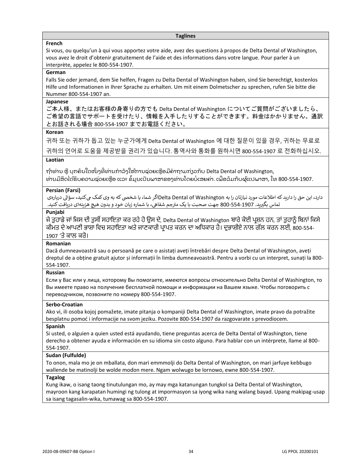#### **Taglines**

#### **French**

Si vous, ou quelqu'un à qui vous apportez votre aide, avez des questions à propos de Delta Dental of Washington, vous avez le droit d'obtenir gratuitement de l'aide et des informations dans votre langue. Pour parler à un interprète, appelez le 800-554-1907.

#### **German**

Falls Sie oder jemand, dem Sie helfen, Fragen zu Delta Dental of Washington haben, sind Sie berechtigt, kostenlos Hilfe und Informationen in Ihrer Sprache zu erhalten. Um mit einem Dolmetscher zu sprechen, rufen Sie bitte die Nummer 800-554-1907 an.

#### **Japanese**

ご本人様、またはお客様の身寄りの方でも Delta Dental of Washington についてご質問がございましたら、 ご希望の言語でサポートを受けたり、情報を入手したりすることができます。料金はかかりません。通訳 とお話される場合 800-554-1907 までお電話ください。

#### **Korean**

귀하 또는 귀하가 돕고 있는 누군가에게 Delta Dental of Washington 에 대한 질문이 있을 경우, 귀하는 무료로 귀하의 언어로 도움을 제공받을 권리가 있습니다. 통역사와 통화를 원하시면 800-554-1907 로 전화하십시오.

### **Laotian**

ຖ້າທ່ານ ຫຼື ບຸກຄົນໃດໜຶ່ງທີ່ທ່ານກໍາລັງໃຫ້ການຊ່ວຍເຫຼືອມີຄໍາຖາມກ່ຽວກັບ Delta Dental of Washington, ທ່ານມີສິດໄດ້ຮັບຄວາມຊ່ວຍເຫຼືອ ແລະ ຂໍ້ມູນເປັນພາສາຂອງທ່ານໂດຍບໍ່ເສຍຄ່າ. ເພື່ອລິມກັບຜູ້ແປພາສາ, ໂທ 800-554-1907.

#### **Persian (Farsi)**

دارد، این حق را دارید که اطلاعات مورد نیازتان را به Delta Dental of Washingtonاگر شما، یا شخصی که به وی کمک می کنید، سؤالی دربارهی جم شفایه، با شماره زبان خود و بدون هیچ هزینهای در یافتکنید. تماس بگرتید. 800-554-1907 جهت صحبت با یک مت <sup>ر</sup>

#### **Punjabi**

ਜੇ ਤੁਹਾਡੇ ਜਾਂ ਜਿਸ ਦੀ ਤੁਸੀਂ ਸਹਾਇਤਾ ਕਰ ਰਹੇ ਹੋ ਉਸ ਦੇ, Delta Dental of Washington ਬਾਰੇ ਕੋਈ ਪ੍ਰਸ਼ਨ ਹਨ, ਤਾਂ ਤੁਹਾਨੂੰ ਬਿਨਾਂ ਕਿਸੇ ਕੀਮਤ ਦੇ ਆਪਣੀ ਭਾਸ਼ਾ ਵਿਚ ਸਹਾਇਤਾ ਅਤੇ ਜਾਣਕਾਰੀ ਪ੍ਰਾਪਤ ਕਰਨ ਦਾ ਅਧਿਕਾਰ ਹੈ। ਦੁਭਾਸ਼ੀਏ ਨਾਲ ਗੱਲ ਕਰਨ ਲਈ, 800-554-1907 'ਤੇ ਕਾਲ ਕਰੋ।

#### **Romanian**

Dacă dumneavoastră sau o persoană pe care o asistați aveți întrebări despre Delta Dental of Washington, aveți dreptul de a obține gratuit ajutor și informații în limba dumneavoastră. Pentru a vorbi cu un interpret, sunați la 800- 554-1907.

#### **Russian**

Если у Вас или у лица, которому Вы помогаете, имеются вопросы относительно Delta Dental of Washington, то Вы имеете право на получение бесплатной помощи и информации на Вашем языке. Чтобы поговорить с переводчиком, позвоните по номеру 800-554-1907.

#### **Serbo-Croatian**

Ako vi, ili osoba kojoj pomažete, imate pitanja o kompaniji Delta Dental of Washington, imate pravo da potražite besplatnu pomoć i informacije na svom jeziku. Pozovite 800-554-1907 da razgovarate s prevodiocem.

#### **Spanish**

Si usted, o alguien a quien usted está ayudando, tiene preguntas acerca de Delta Dental of Washington, tiene derecho a obtener ayuda e información en su idioma sin costo alguno. Para hablar con un intérprete, llame al 800- 554-1907.

#### **Sudan (Fulfulde)**

To onon, mala mo je on mballata, don mari emmmolji do Delta Dental of Washington, on mari jarfuye keɓɓugo wallende be matinolji be wolde moɗon mere. Ngam wolwugo be lornowo, ewne 800-554-1907.

#### **Tagalog**

Kung ikaw, o isang taong tinutulungan mo, ay may mga katanungan tungkol sa Delta Dental of Washington, mayroon kang karapatan humingi ng tulong at impormasyon sa iyong wika nang walang bayad. Upang makipag-usap sa isang tagasalin-wika, tumawag sa 800-554-1907.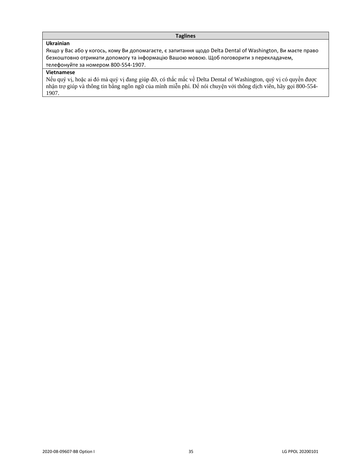## **Taglines**

## **Ukrainian**

Якщо у Вас або у когось, кому Ви допомагаєте, є запитання щодо Delta Dental of Washington, Ви маєте право безкоштовно отримати допомогу та інформацію Вашою мовою. Щоб поговорити з перекладачем, телефонуйте за номером 800-554-1907.

## **Vietnamese**

Nếu quý vị, hoặc ai đó mà quý vị đang giúp đỡ, có thắc mắc về Delta Dental of Washington, quý vị có quyền được nhận trợ giúp và thông tin bằng ngôn ngữ của mình miễn phí. Để nói chuyện với thông dịch viên, hãy gọi 800-554- 1907.